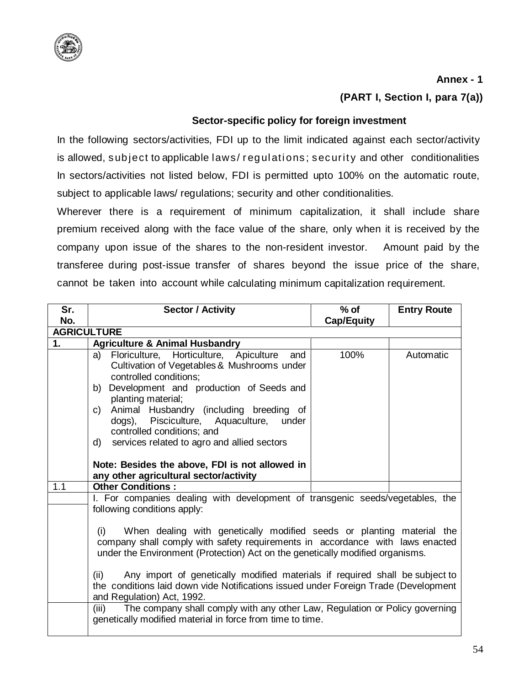

## **Annex - 1**

**(PART I, Section I, para 7(a))**

## **Sector-specific policy for foreign investment**

In the following sectors/activities, FDI up to the limit indicated against each sector/activity is allowed, subject to applicable laws/ requisitions; security and other conditionalities In sectors/activities not listed below, FDI is permitted upto 100% on the automatic route, subject to applicable laws/ regulations; security and other conditionalities.

Wherever there is a requirement of minimum capitalization, it shall include share premium received along with the face value of the share, only when it is received by the company upon issue of the shares to the non-resident investor. Amount paid by the transferee during post-issue transfer of shares beyond the issue price of the share, cannot be taken into account while calculating minimum capitalization requirement.

| Sr.<br>No. | <b>Sector / Activity</b>                                                                                                                                                                                                                                                                                                                                                                                                                                                                                                                                                    | $%$ of<br><b>Cap/Equity</b> | <b>Entry Route</b> |
|------------|-----------------------------------------------------------------------------------------------------------------------------------------------------------------------------------------------------------------------------------------------------------------------------------------------------------------------------------------------------------------------------------------------------------------------------------------------------------------------------------------------------------------------------------------------------------------------------|-----------------------------|--------------------|
|            | <b>AGRICULTURE</b>                                                                                                                                                                                                                                                                                                                                                                                                                                                                                                                                                          |                             |                    |
| 1.         | <b>Agriculture &amp; Animal Husbandry</b>                                                                                                                                                                                                                                                                                                                                                                                                                                                                                                                                   |                             |                    |
|            | Floriculture, Horticulture, Apiculture<br>a)<br>and<br>Cultivation of Vegetables & Mushrooms under<br>controlled conditions;<br>Development and production of Seeds and<br>b)<br>planting material;<br>Animal Husbandry (including breeding of<br>C)<br>dogs), Pisciculture, Aquaculture, under<br>controlled conditions; and<br>services related to agro and allied sectors<br>d)<br>Note: Besides the above, FDI is not allowed in<br>any other agricultural sector/activity                                                                                              | 100%                        | Automatic          |
| 1.1        | <b>Other Conditions:</b>                                                                                                                                                                                                                                                                                                                                                                                                                                                                                                                                                    |                             |                    |
|            | I. For companies dealing with development of transgenic seeds/vegetables, the<br>following conditions apply:<br>When dealing with genetically modified seeds or planting material the<br>(i)<br>company shall comply with safety requirements in accordance with laws enacted<br>under the Environment (Protection) Act on the genetically modified organisms.<br>Any import of genetically modified materials if required shall be subject to<br>(ii)<br>the conditions laid down vide Notifications issued under Foreign Trade (Development<br>and Regulation) Act, 1992. |                             |                    |
|            | The company shall comply with any other Law, Regulation or Policy governing<br>(iii)<br>genetically modified material in force from time to time.                                                                                                                                                                                                                                                                                                                                                                                                                           |                             |                    |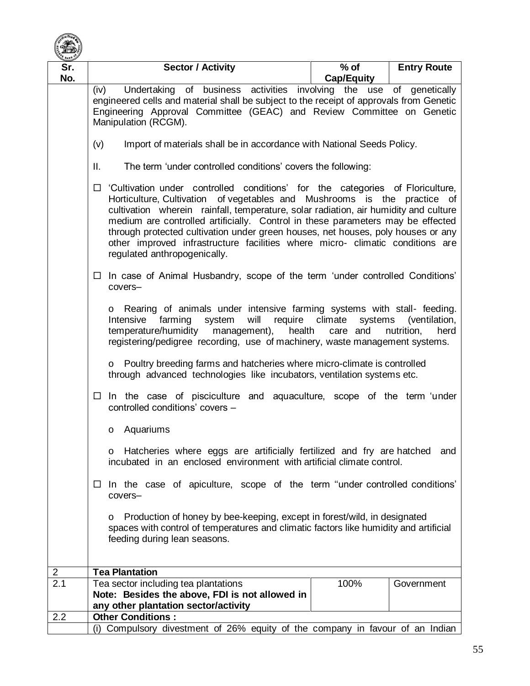

| Sr. | <b>Sector / Activity</b>                                                                                                                                                                                                                                                                                                                                                                                                                                                                                                                                                                             | $%$ of            | <b>Entry Route</b> |  |
|-----|------------------------------------------------------------------------------------------------------------------------------------------------------------------------------------------------------------------------------------------------------------------------------------------------------------------------------------------------------------------------------------------------------------------------------------------------------------------------------------------------------------------------------------------------------------------------------------------------------|-------------------|--------------------|--|
| No. | Undertaking of business activities involving the use of genetically<br>(iv)                                                                                                                                                                                                                                                                                                                                                                                                                                                                                                                          | <b>Cap/Equity</b> |                    |  |
|     | engineered cells and material shall be subject to the receipt of approvals from Genetic<br>Engineering Approval Committee (GEAC) and Review Committee on Genetic<br>Manipulation (RCGM).<br>(v)<br>Import of materials shall be in accordance with National Seeds Policy.                                                                                                                                                                                                                                                                                                                            |                   |                    |  |
|     |                                                                                                                                                                                                                                                                                                                                                                                                                                                                                                                                                                                                      |                   |                    |  |
|     | Ш.<br>The term 'under controlled conditions' covers the following:                                                                                                                                                                                                                                                                                                                                                                                                                                                                                                                                   |                   |                    |  |
|     | 'Cultivation under controlled conditions' for the categories of Floriculture,<br>□<br>Horticulture, Cultivation of vegetables and Mushrooms is the practice of<br>cultivation wherein rainfall, temperature, solar radiation, air humidity and culture<br>medium are controlled artificially. Control in these parameters may be effected<br>through protected cultivation under green houses, net houses, poly houses or any<br>other improved infrastructure facilities where micro- climatic conditions are<br>regulated anthropogenically.                                                       |                   |                    |  |
|     | In case of Animal Husbandry, scope of the term 'under controlled Conditions'<br>$\Box$<br>covers-<br>o Rearing of animals under intensive farming systems with stall-feeding.<br>farming<br>system<br>will<br>require<br>climate<br>Intensive<br>systems<br>(ventilation,<br>temperature/humidity<br>management),<br>health<br>care and<br>nutrition,<br>herd<br>registering/pedigree recording, use of machinery, waste management systems.<br>o Poultry breeding farms and hatcheries where micro-climate is controlled<br>through advanced technologies like incubators, ventilation systems etc. |                   |                    |  |
|     |                                                                                                                                                                                                                                                                                                                                                                                                                                                                                                                                                                                                      |                   |                    |  |
|     |                                                                                                                                                                                                                                                                                                                                                                                                                                                                                                                                                                                                      |                   |                    |  |
|     | In the case of pisciculture and aquaculture, scope of the term 'under<br>$\Box$<br>controlled conditions' covers -                                                                                                                                                                                                                                                                                                                                                                                                                                                                                   |                   |                    |  |
|     | Aquariums<br>0                                                                                                                                                                                                                                                                                                                                                                                                                                                                                                                                                                                       |                   |                    |  |
|     | o Hatcheries where eggs are artificially fertilized and fry are hatched<br>and<br>incubated in an enclosed environment with artificial climate control.<br>In the case of apiculture, scope of the term "under controlled conditions"<br>$\Box$<br>covers-                                                                                                                                                                                                                                                                                                                                           |                   |                    |  |
|     |                                                                                                                                                                                                                                                                                                                                                                                                                                                                                                                                                                                                      |                   |                    |  |
|     | Production of honey by bee-keeping, except in forest/wild, in designated<br>O<br>spaces with control of temperatures and climatic factors like humidity and artificial<br>feeding during lean seasons.                                                                                                                                                                                                                                                                                                                                                                                               |                   |                    |  |
| 2   | <b>Tea Plantation</b>                                                                                                                                                                                                                                                                                                                                                                                                                                                                                                                                                                                |                   |                    |  |
| 2.1 | Tea sector including tea plantations<br>Note: Besides the above, FDI is not allowed in<br>any other plantation sector/activity                                                                                                                                                                                                                                                                                                                                                                                                                                                                       | 100%              | Government         |  |
| 2.2 | <b>Other Conditions:</b><br>(i) Compulsory divestment of 26% equity of the company in favour of an Indian                                                                                                                                                                                                                                                                                                                                                                                                                                                                                            |                   |                    |  |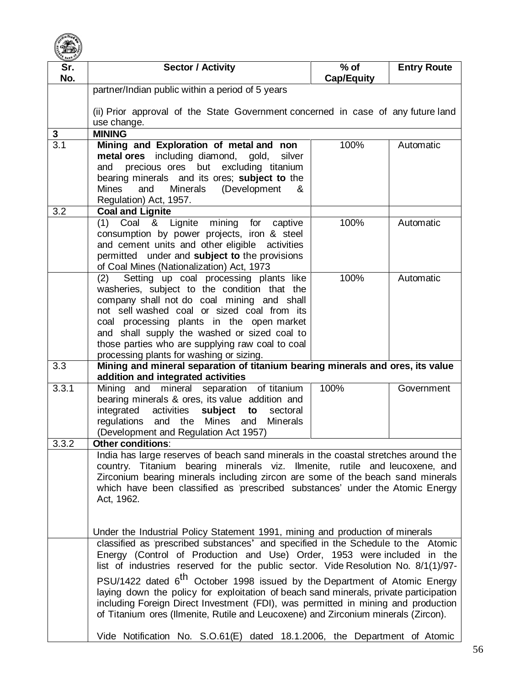

| Sr.              | <b>Sector / Activity</b>                                                                                                                                       | $%$ of            | <b>Entry Route</b> |
|------------------|----------------------------------------------------------------------------------------------------------------------------------------------------------------|-------------------|--------------------|
| No.              |                                                                                                                                                                | <b>Cap/Equity</b> |                    |
|                  | partner/Indian public within a period of 5 years                                                                                                               |                   |                    |
|                  | (ii) Prior approval of the State Government concerned in case of any future land<br>use change.                                                                |                   |                    |
| 3                | <b>MINING</b>                                                                                                                                                  |                   |                    |
| $\overline{3.1}$ | Mining and Exploration of metal and non<br>metal ores including diamond, gold,<br>silver                                                                       | 100%              | Automatic          |
|                  | precious ores but excluding titanium<br>and                                                                                                                    |                   |                    |
|                  | bearing minerals and its ores; subject to the<br><b>Minerals</b><br><b>Mines</b><br>and<br>(Development<br>&                                                   |                   |                    |
|                  | Regulation) Act, 1957.                                                                                                                                         |                   |                    |
| 3.2              | <b>Coal and Lignite</b>                                                                                                                                        |                   |                    |
|                  | Coal & Lignite mining for captive<br>(1)                                                                                                                       | 100%              | Automatic          |
|                  | consumption by power projects, iron & steel                                                                                                                    |                   |                    |
|                  | and cement units and other eligible activities                                                                                                                 |                   |                    |
|                  | permitted under and subject to the provisions<br>of Coal Mines (Nationalization) Act, 1973                                                                     |                   |                    |
|                  | Setting up coal processing plants like<br>(2)                                                                                                                  | 100%              | Automatic          |
|                  | washeries, subject to the condition that the                                                                                                                   |                   |                    |
|                  | company shall not do coal mining and shall                                                                                                                     |                   |                    |
|                  | not sell washed coal or sized coal from its                                                                                                                    |                   |                    |
|                  | coal processing plants in the open market<br>and shall supply the washed or sized coal to                                                                      |                   |                    |
|                  | those parties who are supplying raw coal to coal                                                                                                               |                   |                    |
|                  | processing plants for washing or sizing.                                                                                                                       |                   |                    |
| 3.3              | Mining and mineral separation of titanium bearing minerals and ores, its value                                                                                 |                   |                    |
|                  | addition and integrated activities                                                                                                                             |                   |                    |
| 3.3.1            | Mining and mineral separation of titanium<br>bearing minerals & ores, its value addition and                                                                   | 100%              | Government         |
|                  | subject<br>integrated<br>activities<br>to<br>sectoral                                                                                                          |                   |                    |
|                  | Mines and<br>regulations and<br>the<br><b>Minerals</b>                                                                                                         |                   |                    |
|                  | (Development and Regulation Act 1957)                                                                                                                          |                   |                    |
| 3.3.2            | <b>Other conditions:</b>                                                                                                                                       |                   |                    |
|                  | India has large reserves of beach sand minerals in the coastal stretches around the                                                                            |                   |                    |
|                  | country. Titanium bearing minerals viz. Ilmenite, rutile and leucoxene, and<br>Zirconium bearing minerals including zircon are some of the beach sand minerals |                   |                    |
|                  | which have been classified as 'prescribed substances' under the Atomic Energy                                                                                  |                   |                    |
|                  | Act, 1962.                                                                                                                                                     |                   |                    |
|                  |                                                                                                                                                                |                   |                    |
|                  | Under the Industrial Policy Statement 1991, mining and production of minerals                                                                                  |                   |                    |
|                  | classified as 'prescribed substances' and specified in the Schedule to the Atomic                                                                              |                   |                    |
|                  | Energy (Control of Production and Use) Order, 1953 were included in the                                                                                        |                   |                    |
|                  | list of industries reserved for the public sector. Vide Resolution No. 8/1(1)/97-                                                                              |                   |                    |
|                  | PSU/1422 dated 6 <sup>th</sup> October 1998 issued by the Department of Atomic Energy                                                                          |                   |                    |
|                  | laying down the policy for exploitation of beach sand minerals, private participation                                                                          |                   |                    |
|                  | including Foreign Direct Investment (FDI), was permitted in mining and production                                                                              |                   |                    |
|                  | of Titanium ores (Ilmenite, Rutile and Leucoxene) and Zirconium minerals (Zircon).                                                                             |                   |                    |
|                  | Vide Notification No. S.O.61(E) dated 18.1.2006, the Department of Atomic                                                                                      |                   |                    |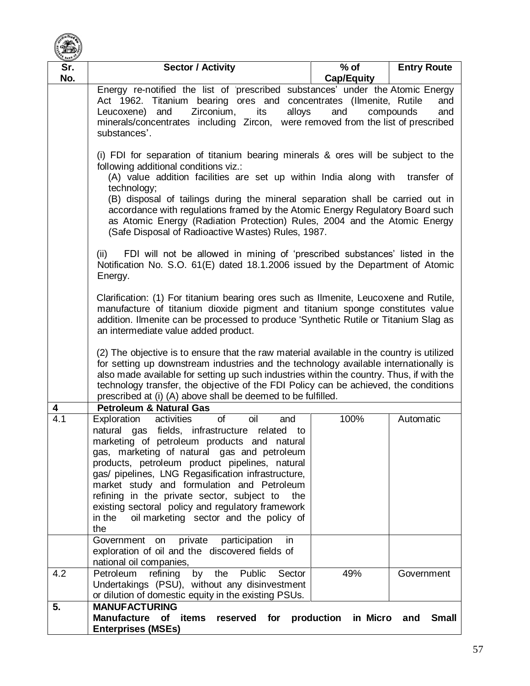

| Sr.              | <b>Sector / Activity</b>                                                                                                                                                                                                                                                                                                                                                                                                                                                                                                                                                                                                                                 | $%$ of            | <b>Entry Route</b>  |  |
|------------------|----------------------------------------------------------------------------------------------------------------------------------------------------------------------------------------------------------------------------------------------------------------------------------------------------------------------------------------------------------------------------------------------------------------------------------------------------------------------------------------------------------------------------------------------------------------------------------------------------------------------------------------------------------|-------------------|---------------------|--|
| No.              |                                                                                                                                                                                                                                                                                                                                                                                                                                                                                                                                                                                                                                                          | <b>Cap/Equity</b> |                     |  |
|                  | Energy re-notified the list of 'prescribed substances' under the Atomic Energy<br>Act 1962. Titanium bearing ores and concentrates (Ilmenite, Rutile<br>and<br>and<br>Zirconium,<br>alloys<br>and<br>Leucoxene)<br>its<br>compounds<br>and<br>minerals/concentrates including Zircon, were removed from the list of prescribed<br>substances'.                                                                                                                                                                                                                                                                                                           |                   |                     |  |
|                  | (i) FDI for separation of titanium bearing minerals & ores will be subject to the<br>following additional conditions viz.:<br>(A) value addition facilities are set up within India along with transfer of<br>technology;<br>(B) disposal of tailings during the mineral separation shall be carried out in<br>accordance with regulations framed by the Atomic Energy Regulatory Board such<br>as Atomic Energy (Radiation Protection) Rules, 2004 and the Atomic Energy<br>(Safe Disposal of Radioactive Wastes) Rules, 1987.                                                                                                                          |                   |                     |  |
|                  | FDI will not be allowed in mining of 'prescribed substances' listed in the<br>(ii)<br>Notification No. S.O. 61(E) dated 18.1.2006 issued by the Department of Atomic<br>Energy.                                                                                                                                                                                                                                                                                                                                                                                                                                                                          |                   |                     |  |
|                  | Clarification: (1) For titanium bearing ores such as Ilmenite, Leucoxene and Rutile,<br>manufacture of titanium dioxide pigment and titanium sponge constitutes value<br>addition. Ilmenite can be processed to produce 'Synthetic Rutile or Titanium Slag as<br>an intermediate value added product.                                                                                                                                                                                                                                                                                                                                                    |                   |                     |  |
|                  | (2) The objective is to ensure that the raw material available in the country is utilized<br>for setting up downstream industries and the technology available internationally is<br>also made available for setting up such industries within the country. Thus, if with the<br>technology transfer, the objective of the FDI Policy can be achieved, the conditions<br>prescribed at (i) (A) above shall be deemed to be fulfilled.                                                                                                                                                                                                                    |                   |                     |  |
| 4                | <b>Petroleum &amp; Natural Gas</b>                                                                                                                                                                                                                                                                                                                                                                                                                                                                                                                                                                                                                       |                   |                     |  |
| $\overline{4.1}$ | Exploration<br>activities<br>of<br>oil<br>and<br>natural gas fields, infrastructure related to<br>marketing of petroleum products and natural<br>gas, marketing of natural gas and petroleum<br>products, petroleum product pipelines, natural<br>gas/ pipelines, LNG Regasification infrastructure,<br>market study and formulation and Petroleum<br>refining in the private sector, subject to<br>the<br>existing sectoral policy and regulatory framework<br>oil marketing sector and the policy of<br>in the<br>the<br>private<br>Government on<br>participation<br>in<br>exploration of oil and the discovered fields of<br>national oil companies, | 100%              | Automatic           |  |
| 4.2              | Petroleum<br>refining<br>by<br>the<br>Public<br>Sector                                                                                                                                                                                                                                                                                                                                                                                                                                                                                                                                                                                                   | 49%               | Government          |  |
|                  | Undertakings (PSU), without any disinvestment<br>or dilution of domestic equity in the existing PSUs.                                                                                                                                                                                                                                                                                                                                                                                                                                                                                                                                                    |                   |                     |  |
| 5.               | <b>MANUFACTURING</b><br>Manufacture of items reserved for production<br><b>Enterprises (MSEs)</b>                                                                                                                                                                                                                                                                                                                                                                                                                                                                                                                                                        | in Micro          | <b>Small</b><br>and |  |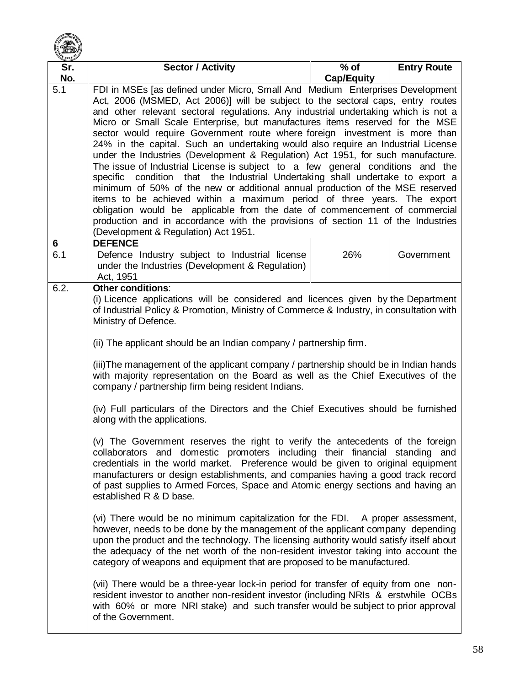

| Sr.      | <b>Sector / Activity</b>                                                                                                                                          | $%$ of            | <b>Entry Route</b> |
|----------|-------------------------------------------------------------------------------------------------------------------------------------------------------------------|-------------------|--------------------|
| No.      |                                                                                                                                                                   | <b>Cap/Equity</b> |                    |
| 5.1      | FDI in MSEs [as defined under Micro, Small And Medium Enterprises Development                                                                                     |                   |                    |
|          | Act, 2006 (MSMED, Act 2006)] will be subject to the sectoral caps, entry routes                                                                                   |                   |                    |
|          | and other relevant sectoral regulations. Any industrial undertaking which is not a                                                                                |                   |                    |
|          | Micro or Small Scale Enterprise, but manufactures items reserved for the MSE                                                                                      |                   |                    |
|          | sector would require Government route where foreign investment is more than                                                                                       |                   |                    |
|          | 24% in the capital. Such an undertaking would also require an Industrial License                                                                                  |                   |                    |
|          | under the Industries (Development & Regulation) Act 1951, for such manufacture.                                                                                   |                   |                    |
|          | The issue of Industrial License is subject to a few general conditions and the                                                                                    |                   |                    |
|          | specific condition that the Industrial Undertaking shall undertake to export a                                                                                    |                   |                    |
|          | minimum of 50% of the new or additional annual production of the MSE reserved                                                                                     |                   |                    |
|          | items to be achieved within a maximum period of three years. The export                                                                                           |                   |                    |
|          | obligation would be applicable from the date of commencement of commercial                                                                                        |                   |                    |
|          | production and in accordance with the provisions of section 11 of the Industries                                                                                  |                   |                    |
|          | (Development & Regulation) Act 1951.                                                                                                                              |                   |                    |
| 6<br>6.1 | <b>DEFENCE</b><br>Defence Industry subject to Industrial license                                                                                                  | 26%               | Government         |
|          | under the Industries (Development & Regulation)                                                                                                                   |                   |                    |
|          | Act, 1951                                                                                                                                                         |                   |                    |
| 6.2.     | <b>Other conditions:</b>                                                                                                                                          |                   |                    |
|          | (i) Licence applications will be considered and licences given by the Department                                                                                  |                   |                    |
|          | of Industrial Policy & Promotion, Ministry of Commerce & Industry, in consultation with                                                                           |                   |                    |
|          | Ministry of Defence.                                                                                                                                              |                   |                    |
|          |                                                                                                                                                                   |                   |                    |
|          | (ii) The applicant should be an Indian company / partnership firm.                                                                                                |                   |                    |
|          | (iii) The management of the applicant company / partnership should be in Indian hands                                                                             |                   |                    |
|          | with majority representation on the Board as well as the Chief Executives of the<br>company / partnership firm being resident Indians.                            |                   |                    |
|          |                                                                                                                                                                   |                   |                    |
|          | (iv) Full particulars of the Directors and the Chief Executives should be furnished                                                                               |                   |                    |
|          | along with the applications.                                                                                                                                      |                   |                    |
|          | (v) The Government reserves the right to verify the antecedents of the foreign                                                                                    |                   |                    |
|          | collaborators and domestic promoters including their financial standing and                                                                                       |                   |                    |
|          | credentials in the world market. Preference would be given to original equipment                                                                                  |                   |                    |
|          | manufacturers or design establishments, and companies having a good track record                                                                                  |                   |                    |
|          | of past supplies to Armed Forces, Space and Atomic energy sections and having an                                                                                  |                   |                    |
|          | established R & D base.                                                                                                                                           |                   |                    |
|          |                                                                                                                                                                   |                   |                    |
|          | (vi) There would be no minimum capitalization for the FDI. A proper assessment,<br>however, needs to be done by the management of the applicant company depending |                   |                    |
|          | upon the product and the technology. The licensing authority would satisfy itself about                                                                           |                   |                    |
|          | the adequacy of the net worth of the non-resident investor taking into account the                                                                                |                   |                    |
|          | category of weapons and equipment that are proposed to be manufactured.                                                                                           |                   |                    |
|          |                                                                                                                                                                   |                   |                    |
|          | (vii) There would be a three-year lock-in period for transfer of equity from one non-                                                                             |                   |                    |
|          | resident investor to another non-resident investor (including NRIs & erstwhile OCBs                                                                               |                   |                    |
|          | with 60% or more NRI stake) and such transfer would be subject to prior approval                                                                                  |                   |                    |
|          | of the Government.                                                                                                                                                |                   |                    |
|          |                                                                                                                                                                   |                   |                    |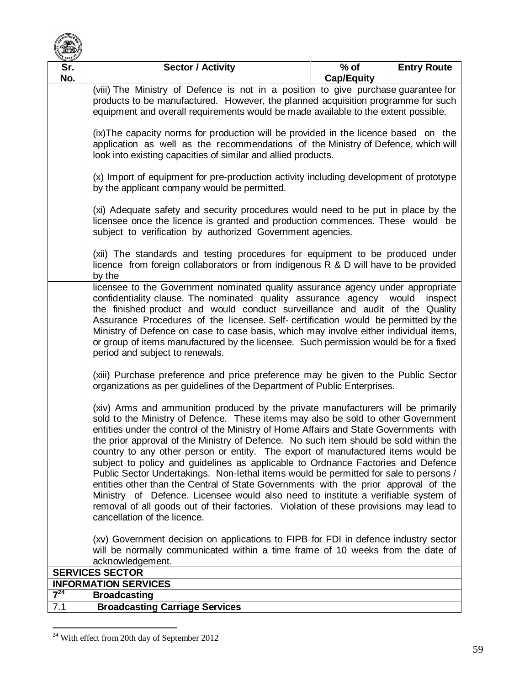

| <b>E</b> BANK<br>Sr.                                                                                                                                                                                                                                                                                                                                                                                                                                                                                                                                                                                                                                                                                                                                                                                                                                                                                                            | <b>Sector / Activity</b>                                                                                                                                                                                                                                                                                                                                                                                                                                                                                                                                                                                                                                                                                                                                                                                                                                                                                                                                                                                                                                                                                                                                                                                                                                                                                                                                                      | $%$ of            | <b>Entry Route</b> |  |
|---------------------------------------------------------------------------------------------------------------------------------------------------------------------------------------------------------------------------------------------------------------------------------------------------------------------------------------------------------------------------------------------------------------------------------------------------------------------------------------------------------------------------------------------------------------------------------------------------------------------------------------------------------------------------------------------------------------------------------------------------------------------------------------------------------------------------------------------------------------------------------------------------------------------------------|-------------------------------------------------------------------------------------------------------------------------------------------------------------------------------------------------------------------------------------------------------------------------------------------------------------------------------------------------------------------------------------------------------------------------------------------------------------------------------------------------------------------------------------------------------------------------------------------------------------------------------------------------------------------------------------------------------------------------------------------------------------------------------------------------------------------------------------------------------------------------------------------------------------------------------------------------------------------------------------------------------------------------------------------------------------------------------------------------------------------------------------------------------------------------------------------------------------------------------------------------------------------------------------------------------------------------------------------------------------------------------|-------------------|--------------------|--|
| No.                                                                                                                                                                                                                                                                                                                                                                                                                                                                                                                                                                                                                                                                                                                                                                                                                                                                                                                             |                                                                                                                                                                                                                                                                                                                                                                                                                                                                                                                                                                                                                                                                                                                                                                                                                                                                                                                                                                                                                                                                                                                                                                                                                                                                                                                                                                               | <b>Cap/Equity</b> |                    |  |
|                                                                                                                                                                                                                                                                                                                                                                                                                                                                                                                                                                                                                                                                                                                                                                                                                                                                                                                                 | (viii) The Ministry of Defence is not in a position to give purchase guarantee for<br>products to be manufactured. However, the planned acquisition programme for such<br>equipment and overall requirements would be made available to the extent possible.                                                                                                                                                                                                                                                                                                                                                                                                                                                                                                                                                                                                                                                                                                                                                                                                                                                                                                                                                                                                                                                                                                                  |                   |                    |  |
|                                                                                                                                                                                                                                                                                                                                                                                                                                                                                                                                                                                                                                                                                                                                                                                                                                                                                                                                 | (ix)The capacity norms for production will be provided in the licence based on the<br>application as well as the recommendations of the Ministry of Defence, which will<br>look into existing capacities of similar and allied products.<br>(x) Import of equipment for pre-production activity including development of prototype<br>by the applicant company would be permitted.<br>(xi) Adequate safety and security procedures would need to be put in place by the<br>licensee once the licence is granted and production commences. These would be<br>subject to verification by authorized Government agencies.<br>(xii) The standards and testing procedures for equipment to be produced under<br>licence from foreign collaborators or from indigenous R & D will have to be provided<br>by the<br>licensee to the Government nominated quality assurance agency under appropriate<br>confidentiality clause. The nominated quality assurance agency<br>would<br>inspect<br>the finished product and would conduct surveillance and audit of the Quality<br>Assurance Procedures of the licensee. Self- certification would be permitted by the<br>Ministry of Defence on case to case basis, which may involve either individual items,<br>or group of items manufactured by the licensee. Such permission would be for a fixed<br>period and subject to renewals. |                   |                    |  |
|                                                                                                                                                                                                                                                                                                                                                                                                                                                                                                                                                                                                                                                                                                                                                                                                                                                                                                                                 |                                                                                                                                                                                                                                                                                                                                                                                                                                                                                                                                                                                                                                                                                                                                                                                                                                                                                                                                                                                                                                                                                                                                                                                                                                                                                                                                                                               |                   |                    |  |
|                                                                                                                                                                                                                                                                                                                                                                                                                                                                                                                                                                                                                                                                                                                                                                                                                                                                                                                                 |                                                                                                                                                                                                                                                                                                                                                                                                                                                                                                                                                                                                                                                                                                                                                                                                                                                                                                                                                                                                                                                                                                                                                                                                                                                                                                                                                                               |                   |                    |  |
|                                                                                                                                                                                                                                                                                                                                                                                                                                                                                                                                                                                                                                                                                                                                                                                                                                                                                                                                 |                                                                                                                                                                                                                                                                                                                                                                                                                                                                                                                                                                                                                                                                                                                                                                                                                                                                                                                                                                                                                                                                                                                                                                                                                                                                                                                                                                               |                   |                    |  |
|                                                                                                                                                                                                                                                                                                                                                                                                                                                                                                                                                                                                                                                                                                                                                                                                                                                                                                                                 |                                                                                                                                                                                                                                                                                                                                                                                                                                                                                                                                                                                                                                                                                                                                                                                                                                                                                                                                                                                                                                                                                                                                                                                                                                                                                                                                                                               |                   |                    |  |
|                                                                                                                                                                                                                                                                                                                                                                                                                                                                                                                                                                                                                                                                                                                                                                                                                                                                                                                                 | (xiii) Purchase preference and price preference may be given to the Public Sector<br>organizations as per guidelines of the Department of Public Enterprises.                                                                                                                                                                                                                                                                                                                                                                                                                                                                                                                                                                                                                                                                                                                                                                                                                                                                                                                                                                                                                                                                                                                                                                                                                 |                   |                    |  |
| (xiv) Arms and ammunition produced by the private manufacturers will be primarily<br>sold to the Ministry of Defence. These items may also be sold to other Government<br>entities under the control of the Ministry of Home Affairs and State Governments with<br>the prior approval of the Ministry of Defence. No such item should be sold within the<br>country to any other person or entity. The export of manufactured items would be<br>subject to policy and guidelines as applicable to Ordnance Factories and Defence<br>Public Sector Undertakings. Non-lethal items would be permitted for sale to persons /<br>entities other than the Central of State Governments with the prior approval of the<br>Ministry of Defence. Licensee would also need to institute a verifiable system of<br>removal of all goods out of their factories. Violation of these provisions may lead to<br>cancellation of the licence. |                                                                                                                                                                                                                                                                                                                                                                                                                                                                                                                                                                                                                                                                                                                                                                                                                                                                                                                                                                                                                                                                                                                                                                                                                                                                                                                                                                               |                   |                    |  |
|                                                                                                                                                                                                                                                                                                                                                                                                                                                                                                                                                                                                                                                                                                                                                                                                                                                                                                                                 | (xv) Government decision on applications to FIPB for FDI in defence industry sector<br>will be normally communicated within a time frame of 10 weeks from the date of<br>acknowledgement.                                                                                                                                                                                                                                                                                                                                                                                                                                                                                                                                                                                                                                                                                                                                                                                                                                                                                                                                                                                                                                                                                                                                                                                     |                   |                    |  |
|                                                                                                                                                                                                                                                                                                                                                                                                                                                                                                                                                                                                                                                                                                                                                                                                                                                                                                                                 | <b>SERVICES SECTOR</b>                                                                                                                                                                                                                                                                                                                                                                                                                                                                                                                                                                                                                                                                                                                                                                                                                                                                                                                                                                                                                                                                                                                                                                                                                                                                                                                                                        |                   |                    |  |
|                                                                                                                                                                                                                                                                                                                                                                                                                                                                                                                                                                                                                                                                                                                                                                                                                                                                                                                                 | <b>INFORMATION SERVICES</b>                                                                                                                                                                                                                                                                                                                                                                                                                                                                                                                                                                                                                                                                                                                                                                                                                                                                                                                                                                                                                                                                                                                                                                                                                                                                                                                                                   |                   |                    |  |
| $7^{24}$                                                                                                                                                                                                                                                                                                                                                                                                                                                                                                                                                                                                                                                                                                                                                                                                                                                                                                                        | <b>Broadcasting</b>                                                                                                                                                                                                                                                                                                                                                                                                                                                                                                                                                                                                                                                                                                                                                                                                                                                                                                                                                                                                                                                                                                                                                                                                                                                                                                                                                           |                   |                    |  |
| 7.1                                                                                                                                                                                                                                                                                                                                                                                                                                                                                                                                                                                                                                                                                                                                                                                                                                                                                                                             | <b>Broadcasting Carriage Services</b>                                                                                                                                                                                                                                                                                                                                                                                                                                                                                                                                                                                                                                                                                                                                                                                                                                                                                                                                                                                                                                                                                                                                                                                                                                                                                                                                         |                   |                    |  |

 $\overline{a}$  $24$  With effect from 20th day of September 2012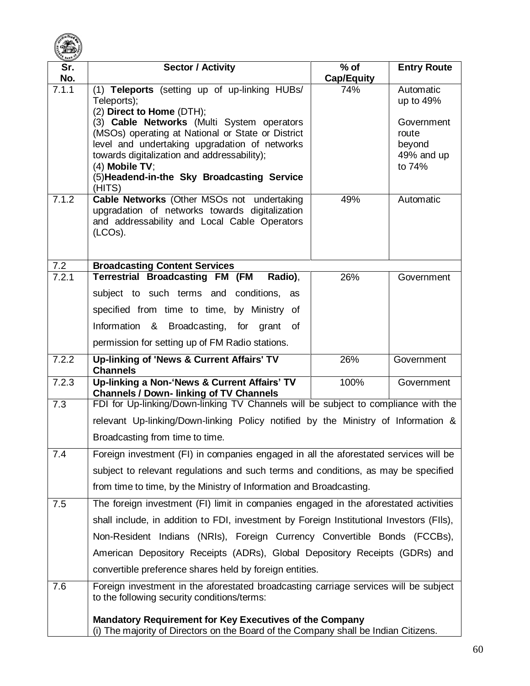

| Sr.   | <b>Sector / Activity</b>                                                                                                                              | $%$ of            | <b>Entry Route</b>     |
|-------|-------------------------------------------------------------------------------------------------------------------------------------------------------|-------------------|------------------------|
| No.   |                                                                                                                                                       | <b>Cap/Equity</b> |                        |
| 7.1.1 | (1) Teleports (setting up of up-linking HUBs/<br>Teleports);<br>(2) Direct to Home (DTH);                                                             | 74%               | Automatic<br>up to 49% |
|       | (3) Cable Networks (Multi System operators                                                                                                            |                   | Government             |
|       | (MSOs) operating at National or State or District                                                                                                     |                   | route                  |
|       | level and undertaking upgradation of networks                                                                                                         |                   | beyond                 |
|       | towards digitalization and addressability);<br>(4) Mobile TV:                                                                                         |                   | 49% and up<br>to 74%   |
|       | (5) Headend-in-the Sky Broadcasting Service<br>(HITS)                                                                                                 |                   |                        |
| 7.1.2 | Cable Networks (Other MSOs not undertaking                                                                                                            | 49%               | Automatic              |
|       | upgradation of networks towards digitalization<br>and addressability and Local Cable Operators<br>(LCOs).                                             |                   |                        |
| 7.2   | <b>Broadcasting Content Services</b>                                                                                                                  |                   |                        |
| 7.2.1 | <b>Terrestrial Broadcasting FM (FM</b><br>Radio),                                                                                                     | 26%               | Government             |
|       | subject to such terms and conditions, as                                                                                                              |                   |                        |
|       | specified from time to time, by Ministry of                                                                                                           |                   |                        |
|       | Information & Broadcasting, for grant of                                                                                                              |                   |                        |
|       | permission for setting up of FM Radio stations.                                                                                                       |                   |                        |
| 7.2.2 | Up-linking of 'News & Current Affairs' TV<br><b>Channels</b>                                                                                          | 26%               | Government             |
| 7.2.3 | Up-linking a Non-'News & Current Affairs' TV<br><b>Channels / Down- linking of TV Channels</b>                                                        | 100%              | Government             |
| 7.3   | FDI for Up-linking/Down-linking TV Channels will be subject to compliance with the                                                                    |                   |                        |
|       | relevant Up-linking/Down-linking Policy notified by the Ministry of Information &                                                                     |                   |                        |
|       | Broadcasting from time to time.                                                                                                                       |                   |                        |
| 7.4   | Foreign investment (FI) in companies engaged in all the aforestated services will be                                                                  |                   |                        |
|       | subject to relevant regulations and such terms and conditions, as may be specified                                                                    |                   |                        |
|       | from time to time, by the Ministry of Information and Broadcasting.                                                                                   |                   |                        |
| 7.5   | The foreign investment (FI) limit in companies engaged in the aforestated activities                                                                  |                   |                        |
|       | shall include, in addition to FDI, investment by Foreign Institutional Investors (FIIs),                                                              |                   |                        |
|       | Non-Resident Indians (NRIs), Foreign Currency Convertible Bonds (FCCBs),                                                                              |                   |                        |
|       | American Depository Receipts (ADRs), Global Depository Receipts (GDRs) and                                                                            |                   |                        |
|       | convertible preference shares held by foreign entities.                                                                                               |                   |                        |
| 7.6   | Foreign investment in the aforestated broadcasting carriage services will be subject                                                                  |                   |                        |
|       | to the following security conditions/terms:                                                                                                           |                   |                        |
|       | <b>Mandatory Requirement for Key Executives of the Company</b><br>(i) The majority of Directors on the Board of the Company shall be Indian Citizens. |                   |                        |
|       |                                                                                                                                                       |                   |                        |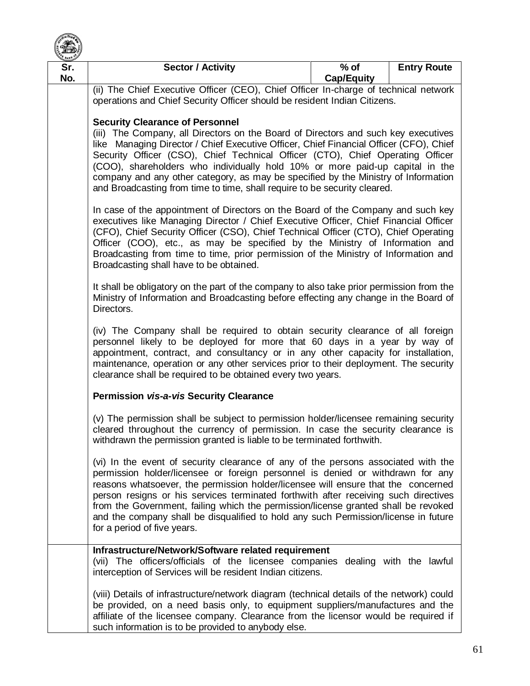

| <b>BANK</b>                                                                                                                                                                                                                                        |                                                                                                                                                                                                                                                                                                                                                                                                                                                                                                                                                                                                                                                                                                                                                                                                                                                                                                                                                                                                                                                                                                                                                                                                                                                                                                                                                                                                                                                                                                                                                                                                                                                              |                             |                    |  |
|----------------------------------------------------------------------------------------------------------------------------------------------------------------------------------------------------------------------------------------------------|--------------------------------------------------------------------------------------------------------------------------------------------------------------------------------------------------------------------------------------------------------------------------------------------------------------------------------------------------------------------------------------------------------------------------------------------------------------------------------------------------------------------------------------------------------------------------------------------------------------------------------------------------------------------------------------------------------------------------------------------------------------------------------------------------------------------------------------------------------------------------------------------------------------------------------------------------------------------------------------------------------------------------------------------------------------------------------------------------------------------------------------------------------------------------------------------------------------------------------------------------------------------------------------------------------------------------------------------------------------------------------------------------------------------------------------------------------------------------------------------------------------------------------------------------------------------------------------------------------------------------------------------------------------|-----------------------------|--------------------|--|
| Sr.<br>No.                                                                                                                                                                                                                                         | <b>Sector / Activity</b>                                                                                                                                                                                                                                                                                                                                                                                                                                                                                                                                                                                                                                                                                                                                                                                                                                                                                                                                                                                                                                                                                                                                                                                                                                                                                                                                                                                                                                                                                                                                                                                                                                     | $%$ of<br><b>Cap/Equity</b> | <b>Entry Route</b> |  |
|                                                                                                                                                                                                                                                    | (ii) The Chief Executive Officer (CEO), Chief Officer In-charge of technical network<br>operations and Chief Security Officer should be resident Indian Citizens.                                                                                                                                                                                                                                                                                                                                                                                                                                                                                                                                                                                                                                                                                                                                                                                                                                                                                                                                                                                                                                                                                                                                                                                                                                                                                                                                                                                                                                                                                            |                             |                    |  |
|                                                                                                                                                                                                                                                    | <b>Security Clearance of Personnel</b><br>(iii) The Company, all Directors on the Board of Directors and such key executives<br>like Managing Director / Chief Executive Officer, Chief Financial Officer (CFO), Chief<br>Security Officer (CSO), Chief Technical Officer (CTO), Chief Operating Officer<br>(COO), shareholders who individually hold 10% or more paid-up capital in the<br>company and any other category, as may be specified by the Ministry of Information<br>and Broadcasting from time to time, shall require to be security cleared.<br>In case of the appointment of Directors on the Board of the Company and such key<br>executives like Managing Director / Chief Executive Officer, Chief Financial Officer<br>(CFO), Chief Security Officer (CSO), Chief Technical Officer (CTO), Chief Operating<br>Officer (COO), etc., as may be specified by the Ministry of Information and<br>Broadcasting from time to time, prior permission of the Ministry of Information and<br>Broadcasting shall have to be obtained.<br>It shall be obligatory on the part of the company to also take prior permission from the<br>Ministry of Information and Broadcasting before effecting any change in the Board of<br>Directors.<br>(iv) The Company shall be required to obtain security clearance of all foreign<br>personnel likely to be deployed for more that 60 days in a year by way of<br>appointment, contract, and consultancy or in any other capacity for installation,<br>maintenance, operation or any other services prior to their deployment. The security<br>clearance shall be required to be obtained every two years. |                             |                    |  |
|                                                                                                                                                                                                                                                    |                                                                                                                                                                                                                                                                                                                                                                                                                                                                                                                                                                                                                                                                                                                                                                                                                                                                                                                                                                                                                                                                                                                                                                                                                                                                                                                                                                                                                                                                                                                                                                                                                                                              |                             |                    |  |
|                                                                                                                                                                                                                                                    |                                                                                                                                                                                                                                                                                                                                                                                                                                                                                                                                                                                                                                                                                                                                                                                                                                                                                                                                                                                                                                                                                                                                                                                                                                                                                                                                                                                                                                                                                                                                                                                                                                                              |                             |                    |  |
|                                                                                                                                                                                                                                                    |                                                                                                                                                                                                                                                                                                                                                                                                                                                                                                                                                                                                                                                                                                                                                                                                                                                                                                                                                                                                                                                                                                                                                                                                                                                                                                                                                                                                                                                                                                                                                                                                                                                              |                             |                    |  |
|                                                                                                                                                                                                                                                    | <b>Permission vis-a-vis Security Clearance</b>                                                                                                                                                                                                                                                                                                                                                                                                                                                                                                                                                                                                                                                                                                                                                                                                                                                                                                                                                                                                                                                                                                                                                                                                                                                                                                                                                                                                                                                                                                                                                                                                               |                             |                    |  |
| (v) The permission shall be subject to permission holder/licensee remaining security<br>cleared throughout the currency of permission. In case the security clearance is<br>withdrawn the permission granted is liable to be terminated forthwith. |                                                                                                                                                                                                                                                                                                                                                                                                                                                                                                                                                                                                                                                                                                                                                                                                                                                                                                                                                                                                                                                                                                                                                                                                                                                                                                                                                                                                                                                                                                                                                                                                                                                              |                             |                    |  |
|                                                                                                                                                                                                                                                    | (vi) In the event of security clearance of any of the persons associated with the<br>permission holder/licensee or foreign personnel is denied or withdrawn for any<br>reasons whatsoever, the permission holder/licensee will ensure that the concerned<br>person resigns or his services terminated forthwith after receiving such directives<br>from the Government, failing which the permission/license granted shall be revoked<br>and the company shall be disqualified to hold any such Permission/license in future<br>for a period of five years.                                                                                                                                                                                                                                                                                                                                                                                                                                                                                                                                                                                                                                                                                                                                                                                                                                                                                                                                                                                                                                                                                                  |                             |                    |  |
|                                                                                                                                                                                                                                                    | Infrastructure/Network/Software related requirement<br>(vii) The officers/officials of the licensee companies dealing with the lawful<br>interception of Services will be resident Indian citizens.                                                                                                                                                                                                                                                                                                                                                                                                                                                                                                                                                                                                                                                                                                                                                                                                                                                                                                                                                                                                                                                                                                                                                                                                                                                                                                                                                                                                                                                          |                             |                    |  |
|                                                                                                                                                                                                                                                    | (viii) Details of infrastructure/network diagram (technical details of the network) could<br>be provided, on a need basis only, to equipment suppliers/manufactures and the<br>affiliate of the licensee company. Clearance from the licensor would be required if<br>such information is to be provided to anybody else.                                                                                                                                                                                                                                                                                                                                                                                                                                                                                                                                                                                                                                                                                                                                                                                                                                                                                                                                                                                                                                                                                                                                                                                                                                                                                                                                    |                             |                    |  |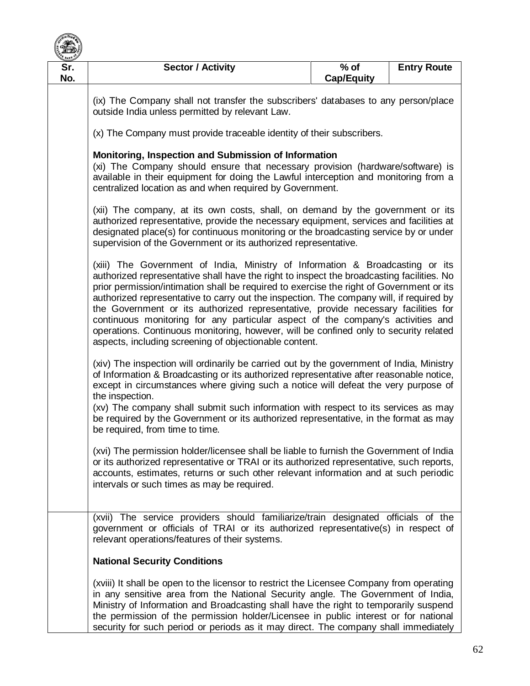

| $rac{\kappa}{\sqrt{N}}$ BANK |                                                                                                                                                                                                                                                                                                                                                                                                                                                                                                                                                                                                                                                                                                                                                                                                                                                                                                                                                                                                                                                                                                                                                                                                                                                                                                                                                                                                                                                                                                                                                                                                                                                                                                                                                                         |                             |                    |  |
|------------------------------|-------------------------------------------------------------------------------------------------------------------------------------------------------------------------------------------------------------------------------------------------------------------------------------------------------------------------------------------------------------------------------------------------------------------------------------------------------------------------------------------------------------------------------------------------------------------------------------------------------------------------------------------------------------------------------------------------------------------------------------------------------------------------------------------------------------------------------------------------------------------------------------------------------------------------------------------------------------------------------------------------------------------------------------------------------------------------------------------------------------------------------------------------------------------------------------------------------------------------------------------------------------------------------------------------------------------------------------------------------------------------------------------------------------------------------------------------------------------------------------------------------------------------------------------------------------------------------------------------------------------------------------------------------------------------------------------------------------------------------------------------------------------------|-----------------------------|--------------------|--|
| Sr.<br>No.                   | <b>Sector / Activity</b>                                                                                                                                                                                                                                                                                                                                                                                                                                                                                                                                                                                                                                                                                                                                                                                                                                                                                                                                                                                                                                                                                                                                                                                                                                                                                                                                                                                                                                                                                                                                                                                                                                                                                                                                                | $%$ of<br><b>Cap/Equity</b> | <b>Entry Route</b> |  |
|                              | (ix) The Company shall not transfer the subscribers' databases to any person/place<br>outside India unless permitted by relevant Law.                                                                                                                                                                                                                                                                                                                                                                                                                                                                                                                                                                                                                                                                                                                                                                                                                                                                                                                                                                                                                                                                                                                                                                                                                                                                                                                                                                                                                                                                                                                                                                                                                                   |                             |                    |  |
|                              | (x) The Company must provide traceable identity of their subscribers.                                                                                                                                                                                                                                                                                                                                                                                                                                                                                                                                                                                                                                                                                                                                                                                                                                                                                                                                                                                                                                                                                                                                                                                                                                                                                                                                                                                                                                                                                                                                                                                                                                                                                                   |                             |                    |  |
|                              | Monitoring, Inspection and Submission of Information<br>(xi) The Company should ensure that necessary provision (hardware/software) is<br>available in their equipment for doing the Lawful interception and monitoring from a<br>centralized location as and when required by Government.                                                                                                                                                                                                                                                                                                                                                                                                                                                                                                                                                                                                                                                                                                                                                                                                                                                                                                                                                                                                                                                                                                                                                                                                                                                                                                                                                                                                                                                                              |                             |                    |  |
|                              | (xii) The company, at its own costs, shall, on demand by the government or its<br>authorized representative, provide the necessary equipment, services and facilities at<br>designated place(s) for continuous monitoring or the broadcasting service by or under<br>supervision of the Government or its authorized representative.                                                                                                                                                                                                                                                                                                                                                                                                                                                                                                                                                                                                                                                                                                                                                                                                                                                                                                                                                                                                                                                                                                                                                                                                                                                                                                                                                                                                                                    |                             |                    |  |
|                              | (xiii) The Government of India, Ministry of Information & Broadcasting or its<br>authorized representative shall have the right to inspect the broadcasting facilities. No<br>prior permission/intimation shall be required to exercise the right of Government or its<br>authorized representative to carry out the inspection. The company will, if required by<br>the Government or its authorized representative, provide necessary facilities for<br>continuous monitoring for any particular aspect of the company's activities and<br>operations. Continuous monitoring, however, will be confined only to security related<br>aspects, including screening of objectionable content.<br>(xiv) The inspection will ordinarily be carried out by the government of India, Ministry<br>of Information & Broadcasting or its authorized representative after reasonable notice,<br>except in circumstances where giving such a notice will defeat the very purpose of<br>the inspection.<br>(xv) The company shall submit such information with respect to its services as may<br>be required by the Government or its authorized representative, in the format as may<br>be required, from time to time.<br>(xvi) The permission holder/licensee shall be liable to furnish the Government of India<br>or its authorized representative or TRAI or its authorized representative, such reports,<br>accounts, estimates, returns or such other relevant information and at such periodic<br>intervals or such times as may be required.<br>(xvii) The service providers should familiarize/train designated officials of the<br>government or officials of TRAI or its authorized representative(s) in respect of<br>relevant operations/features of their systems. |                             |                    |  |
|                              |                                                                                                                                                                                                                                                                                                                                                                                                                                                                                                                                                                                                                                                                                                                                                                                                                                                                                                                                                                                                                                                                                                                                                                                                                                                                                                                                                                                                                                                                                                                                                                                                                                                                                                                                                                         |                             |                    |  |
|                              |                                                                                                                                                                                                                                                                                                                                                                                                                                                                                                                                                                                                                                                                                                                                                                                                                                                                                                                                                                                                                                                                                                                                                                                                                                                                                                                                                                                                                                                                                                                                                                                                                                                                                                                                                                         |                             |                    |  |
|                              |                                                                                                                                                                                                                                                                                                                                                                                                                                                                                                                                                                                                                                                                                                                                                                                                                                                                                                                                                                                                                                                                                                                                                                                                                                                                                                                                                                                                                                                                                                                                                                                                                                                                                                                                                                         |                             |                    |  |
|                              | <b>National Security Conditions</b>                                                                                                                                                                                                                                                                                                                                                                                                                                                                                                                                                                                                                                                                                                                                                                                                                                                                                                                                                                                                                                                                                                                                                                                                                                                                                                                                                                                                                                                                                                                                                                                                                                                                                                                                     |                             |                    |  |
|                              | (xviii) It shall be open to the licensor to restrict the Licensee Company from operating<br>in any sensitive area from the National Security angle. The Government of India,<br>Ministry of Information and Broadcasting shall have the right to temporarily suspend<br>the permission of the permission holder/Licensee in public interest or for national<br>security for such period or periods as it may direct. The company shall immediately                                                                                                                                                                                                                                                                                                                                                                                                                                                                                                                                                                                                                                                                                                                                                                                                                                                                                                                                                                                                                                                                                                                                                                                                                                                                                                                      |                             |                    |  |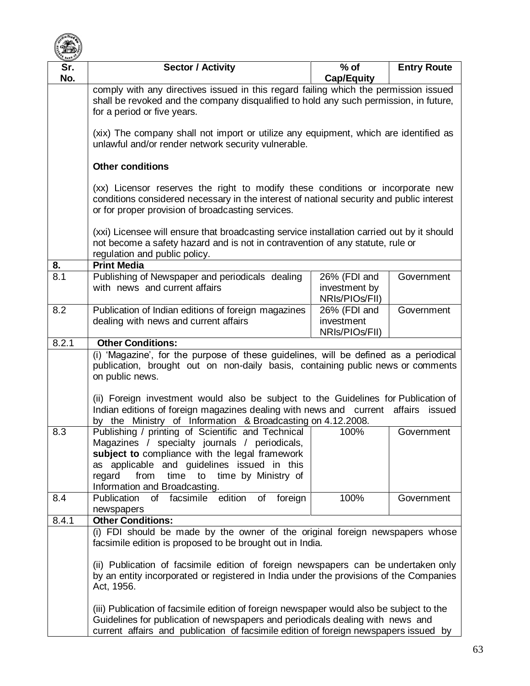

| Sr.   | <b>Sector / Activity</b>                                                                                                                                                                                                                                                                                                                                                                                                             | $%$ of                                          | <b>Entry Route</b> |  |
|-------|--------------------------------------------------------------------------------------------------------------------------------------------------------------------------------------------------------------------------------------------------------------------------------------------------------------------------------------------------------------------------------------------------------------------------------------|-------------------------------------------------|--------------------|--|
| No.   |                                                                                                                                                                                                                                                                                                                                                                                                                                      | <b>Cap/Equity</b>                               |                    |  |
|       | comply with any directives issued in this regard failing which the permission issued<br>shall be revoked and the company disqualified to hold any such permission, in future,<br>for a period or five years.                                                                                                                                                                                                                         |                                                 |                    |  |
|       | (xix) The company shall not import or utilize any equipment, which are identified as<br>unlawful and/or render network security vulnerable.                                                                                                                                                                                                                                                                                          |                                                 |                    |  |
|       | <b>Other conditions</b>                                                                                                                                                                                                                                                                                                                                                                                                              |                                                 |                    |  |
|       | (xx) Licensor reserves the right to modify these conditions or incorporate new<br>conditions considered necessary in the interest of national security and public interest<br>or for proper provision of broadcasting services.                                                                                                                                                                                                      |                                                 |                    |  |
|       | (xxi) Licensee will ensure that broadcasting service installation carried out by it should<br>not become a safety hazard and is not in contravention of any statute, rule or<br>regulation and public policy.                                                                                                                                                                                                                        |                                                 |                    |  |
| 8.    | <b>Print Media</b>                                                                                                                                                                                                                                                                                                                                                                                                                   |                                                 |                    |  |
| 8.1   | Publishing of Newspaper and periodicals dealing<br>with news and current affairs                                                                                                                                                                                                                                                                                                                                                     | 26% (FDI and<br>investment by<br>NRIs/PIOs/FII) | Government         |  |
| 8.2   | Publication of Indian editions of foreign magazines<br>dealing with news and current affairs                                                                                                                                                                                                                                                                                                                                         | 26% (FDI and<br>investment<br>NRIs/PIOs/FII)    | Government         |  |
| 8.2.1 | <b>Other Conditions:</b>                                                                                                                                                                                                                                                                                                                                                                                                             |                                                 |                    |  |
|       | (i) 'Magazine', for the purpose of these guidelines, will be defined as a periodical<br>publication, brought out on non-daily basis, containing public news or comments<br>on public news.<br>(ii) Foreign investment would also be subject to the Guidelines for Publication of<br>Indian editions of foreign magazines dealing with news and current affairs issued<br>by the Ministry of Information & Broadcasting on 4.12.2008. |                                                 |                    |  |
| 8.3   | Publishing / printing of Scientific and Technical<br>Magazines / specialty journals / periodicals,<br>subject to compliance with the legal framework<br>as applicable and guidelines issued in this<br>time by Ministry of<br>from<br>time<br>to<br>regard<br>Information and Broadcasting.                                                                                                                                          | 100%                                            | Government         |  |
| 8.4   | of facsimile edition<br><b>Publication</b><br>foreign<br>of<br>newspapers                                                                                                                                                                                                                                                                                                                                                            | 100%                                            | Government         |  |
| 8.4.1 | <b>Other Conditions:</b><br>(i) FDI should be made by the owner of the original foreign newspapers whose<br>facsimile edition is proposed to be brought out in India.<br>(ii) Publication of facsimile edition of foreign newspapers can be undertaken only<br>by an entity incorporated or registered in India under the provisions of the Companies<br>Act, 1956.                                                                  |                                                 |                    |  |
|       | (iii) Publication of facsimile edition of foreign newspaper would also be subject to the<br>Guidelines for publication of newspapers and periodicals dealing with news and<br>current affairs and publication of facsimile edition of foreign newspapers issued by                                                                                                                                                                   |                                                 |                    |  |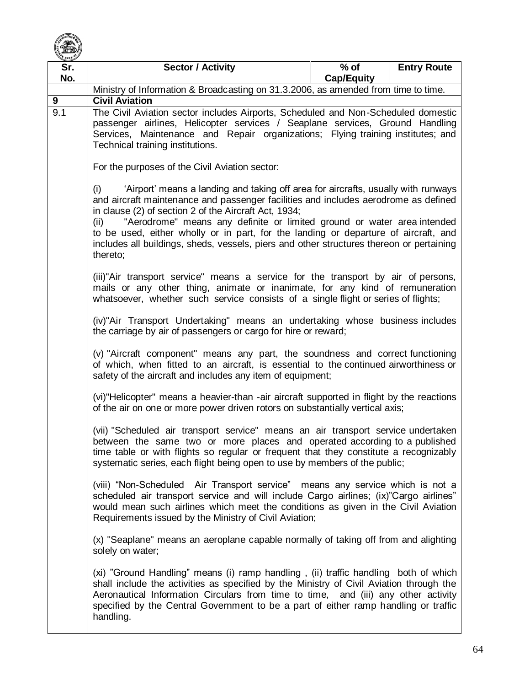

| Sr. | <b>Sector / Activity</b>                                                                                                                                                                                                                                                                                                                                                                                                                                                                                                                                                                                                                                                                                                                                                                                                                                                                                                                                                                                                                                                                                                                                                                                                                                                                                                                                     | $%$ of            | <b>Entry Route</b> |
|-----|--------------------------------------------------------------------------------------------------------------------------------------------------------------------------------------------------------------------------------------------------------------------------------------------------------------------------------------------------------------------------------------------------------------------------------------------------------------------------------------------------------------------------------------------------------------------------------------------------------------------------------------------------------------------------------------------------------------------------------------------------------------------------------------------------------------------------------------------------------------------------------------------------------------------------------------------------------------------------------------------------------------------------------------------------------------------------------------------------------------------------------------------------------------------------------------------------------------------------------------------------------------------------------------------------------------------------------------------------------------|-------------------|--------------------|
| No. |                                                                                                                                                                                                                                                                                                                                                                                                                                                                                                                                                                                                                                                                                                                                                                                                                                                                                                                                                                                                                                                                                                                                                                                                                                                                                                                                                              | <b>Cap/Equity</b> |                    |
|     | Ministry of Information & Broadcasting on 31.3.2006, as amended from time to time.                                                                                                                                                                                                                                                                                                                                                                                                                                                                                                                                                                                                                                                                                                                                                                                                                                                                                                                                                                                                                                                                                                                                                                                                                                                                           |                   |                    |
| 9   | <b>Civil Aviation</b>                                                                                                                                                                                                                                                                                                                                                                                                                                                                                                                                                                                                                                                                                                                                                                                                                                                                                                                                                                                                                                                                                                                                                                                                                                                                                                                                        |                   |                    |
| 9.1 | The Civil Aviation sector includes Airports, Scheduled and Non-Scheduled domestic<br>passenger airlines, Helicopter services / Seaplane services, Ground Handling<br>Services, Maintenance and Repair organizations; Flying training institutes; and<br>Technical training institutions.                                                                                                                                                                                                                                                                                                                                                                                                                                                                                                                                                                                                                                                                                                                                                                                                                                                                                                                                                                                                                                                                     |                   |                    |
|     | For the purposes of the Civil Aviation sector:                                                                                                                                                                                                                                                                                                                                                                                                                                                                                                                                                                                                                                                                                                                                                                                                                                                                                                                                                                                                                                                                                                                                                                                                                                                                                                               |                   |                    |
|     | 'Airport' means a landing and taking off area for aircrafts, usually with runways<br>(i)<br>and aircraft maintenance and passenger facilities and includes aerodrome as defined<br>in clause (2) of section 2 of the Aircraft Act, 1934;<br>"Aerodrome" means any definite or limited ground or water area intended<br>(ii)<br>to be used, either wholly or in part, for the landing or departure of aircraft, and<br>includes all buildings, sheds, vessels, piers and other structures thereon or pertaining<br>thereto;<br>(iii)"Air transport service" means a service for the transport by air of persons,<br>mails or any other thing, animate or inanimate, for any kind of remuneration<br>whatsoever, whether such service consists of a single flight or series of flights;<br>(iv)"Air Transport Undertaking" means an undertaking whose business includes<br>the carriage by air of passengers or cargo for hire or reward;<br>(v) "Aircraft component" means any part, the soundness and correct functioning<br>of which, when fitted to an aircraft, is essential to the continued airworthiness or<br>safety of the aircraft and includes any item of equipment;<br>(vi)"Helicopter" means a heavier-than -air aircraft supported in flight by the reactions<br>of the air on one or more power driven rotors on substantially vertical axis; |                   |                    |
|     |                                                                                                                                                                                                                                                                                                                                                                                                                                                                                                                                                                                                                                                                                                                                                                                                                                                                                                                                                                                                                                                                                                                                                                                                                                                                                                                                                              |                   |                    |
|     |                                                                                                                                                                                                                                                                                                                                                                                                                                                                                                                                                                                                                                                                                                                                                                                                                                                                                                                                                                                                                                                                                                                                                                                                                                                                                                                                                              |                   |                    |
|     |                                                                                                                                                                                                                                                                                                                                                                                                                                                                                                                                                                                                                                                                                                                                                                                                                                                                                                                                                                                                                                                                                                                                                                                                                                                                                                                                                              |                   |                    |
|     |                                                                                                                                                                                                                                                                                                                                                                                                                                                                                                                                                                                                                                                                                                                                                                                                                                                                                                                                                                                                                                                                                                                                                                                                                                                                                                                                                              |                   |                    |
|     | (vii) "Scheduled air transport service" means an air transport service undertaken<br>between the same two or more places and operated according to a published<br>time table or with flights so regular or frequent that they constitute a recognizably<br>systematic series, each flight being open to use by members of the public;                                                                                                                                                                                                                                                                                                                                                                                                                                                                                                                                                                                                                                                                                                                                                                                                                                                                                                                                                                                                                        |                   |                    |
|     | (viii) "Non-Scheduled Air Transport service" means any service which is not a<br>scheduled air transport service and will include Cargo airlines; (ix)"Cargo airlines"<br>would mean such airlines which meet the conditions as given in the Civil Aviation<br>Requirements issued by the Ministry of Civil Aviation;<br>(x) "Seaplane" means an aeroplane capable normally of taking off from and alighting<br>solely on water;                                                                                                                                                                                                                                                                                                                                                                                                                                                                                                                                                                                                                                                                                                                                                                                                                                                                                                                             |                   |                    |
|     |                                                                                                                                                                                                                                                                                                                                                                                                                                                                                                                                                                                                                                                                                                                                                                                                                                                                                                                                                                                                                                                                                                                                                                                                                                                                                                                                                              |                   |                    |
|     | (xi) "Ground Handling" means (i) ramp handling, (ii) traffic handling both of which<br>shall include the activities as specified by the Ministry of Civil Aviation through the<br>Aeronautical Information Circulars from time to time, and (iii) any other activity<br>specified by the Central Government to be a part of either ramp handling or traffic<br>handling.                                                                                                                                                                                                                                                                                                                                                                                                                                                                                                                                                                                                                                                                                                                                                                                                                                                                                                                                                                                     |                   |                    |
|     |                                                                                                                                                                                                                                                                                                                                                                                                                                                                                                                                                                                                                                                                                                                                                                                                                                                                                                                                                                                                                                                                                                                                                                                                                                                                                                                                                              |                   |                    |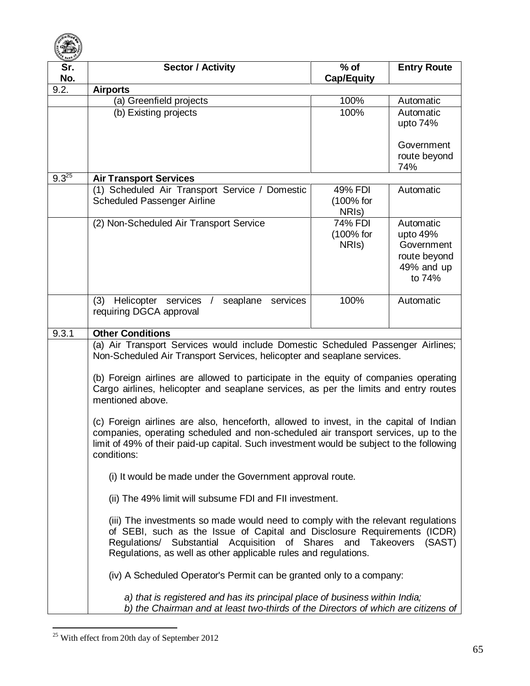

| Sr.<br>No. | <b>Sector / Activity</b>                                                                                                                                                                                                                                                                                  | $%$ of<br><b>Cap/Equity</b> | <b>Entry Route</b>         |
|------------|-----------------------------------------------------------------------------------------------------------------------------------------------------------------------------------------------------------------------------------------------------------------------------------------------------------|-----------------------------|----------------------------|
| 9.2.       | <b>Airports</b>                                                                                                                                                                                                                                                                                           |                             |                            |
|            | (a) Greenfield projects                                                                                                                                                                                                                                                                                   | 100%                        | Automatic                  |
|            | (b) Existing projects                                                                                                                                                                                                                                                                                     | 100%                        | Automatic                  |
|            |                                                                                                                                                                                                                                                                                                           |                             | upto 74%                   |
|            |                                                                                                                                                                                                                                                                                                           |                             | Government<br>route beyond |
|            |                                                                                                                                                                                                                                                                                                           |                             | 74%                        |
| $9.3^{25}$ | <b>Air Transport Services</b>                                                                                                                                                                                                                                                                             |                             |                            |
|            | (1) Scheduled Air Transport Service / Domestic                                                                                                                                                                                                                                                            | 49% FDI                     | Automatic                  |
|            | Scheduled Passenger Airline                                                                                                                                                                                                                                                                               | (100% for                   |                            |
|            |                                                                                                                                                                                                                                                                                                           | NRI <sub>s</sub> )          |                            |
|            | (2) Non-Scheduled Air Transport Service                                                                                                                                                                                                                                                                   | 74% FDI                     | Automatic                  |
|            |                                                                                                                                                                                                                                                                                                           | (100% for                   | upto 49%                   |
|            |                                                                                                                                                                                                                                                                                                           | NRI <sub>S</sub> )          | Government                 |
|            |                                                                                                                                                                                                                                                                                                           |                             | route beyond               |
|            |                                                                                                                                                                                                                                                                                                           |                             | 49% and up                 |
|            |                                                                                                                                                                                                                                                                                                           |                             | to 74%                     |
|            |                                                                                                                                                                                                                                                                                                           |                             |                            |
|            | (3) Helicopter services<br>seaplane<br>services<br>$\sqrt{ }$                                                                                                                                                                                                                                             | 100%                        | Automatic                  |
|            | requiring DGCA approval                                                                                                                                                                                                                                                                                   |                             |                            |
| 9.3.1      | <b>Other Conditions</b>                                                                                                                                                                                                                                                                                   |                             |                            |
|            | (a) Air Transport Services would include Domestic Scheduled Passenger Airlines;<br>Non-Scheduled Air Transport Services, helicopter and seaplane services.                                                                                                                                                |                             |                            |
|            | (b) Foreign airlines are allowed to participate in the equity of companies operating<br>Cargo airlines, helicopter and seaplane services, as per the limits and entry routes<br>mentioned above.                                                                                                          |                             |                            |
|            | (c) Foreign airlines are also, henceforth, allowed to invest, in the capital of Indian<br>companies, operating scheduled and non-scheduled air transport services, up to the<br>limit of 49% of their paid-up capital. Such investment would be subject to the following<br>conditions:                   |                             |                            |
|            | (i) It would be made under the Government approval route.                                                                                                                                                                                                                                                 |                             |                            |
|            | (ii) The 49% limit will subsume FDI and FII investment.                                                                                                                                                                                                                                                   |                             |                            |
|            | (iii) The investments so made would need to comply with the relevant regulations<br>of SEBI, such as the Issue of Capital and Disclosure Requirements (ICDR)<br>Regulations/ Substantial Acquisition of Shares and Takeovers<br>(SAST)<br>Regulations, as well as other applicable rules and regulations. |                             |                            |
|            | (iv) A Scheduled Operator's Permit can be granted only to a company:                                                                                                                                                                                                                                      |                             |                            |
|            | a) that is registered and has its principal place of business within India;<br>b) the Chairman and at least two-thirds of the Directors of which are citizens of                                                                                                                                          |                             |                            |

 $\overline{a}$  $25$  With effect from 20th day of September 2012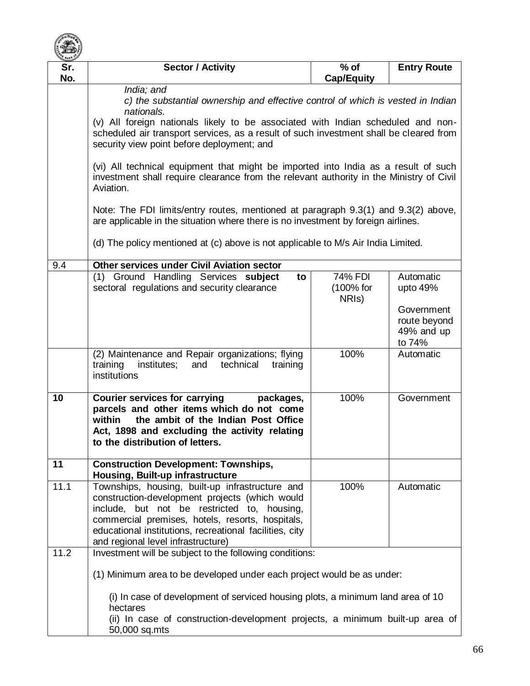

| Sr.  | <b>Sector / Activity</b>                                                                                                                                                                                                                                                                              | $%$ of                                     | <b>Entry Route</b>                                 |  |
|------|-------------------------------------------------------------------------------------------------------------------------------------------------------------------------------------------------------------------------------------------------------------------------------------------------------|--------------------------------------------|----------------------------------------------------|--|
| No.  |                                                                                                                                                                                                                                                                                                       | <b>Cap/Equity</b>                          |                                                    |  |
|      | India; and<br>c) the substantial ownership and effective control of which is vested in Indian                                                                                                                                                                                                         |                                            |                                                    |  |
|      | nationals.<br>(v) All foreign nationals likely to be associated with Indian scheduled and non-<br>scheduled air transport services, as a result of such investment shall be cleared from<br>security view point before deployment; and                                                                |                                            |                                                    |  |
|      |                                                                                                                                                                                                                                                                                                       |                                            |                                                    |  |
|      | (vi) All technical equipment that might be imported into India as a result of such<br>investment shall require clearance from the relevant authority in the Ministry of Civil<br>Aviation.                                                                                                            |                                            |                                                    |  |
|      | Note: The FDI limits/entry routes, mentioned at paragraph 9.3(1) and 9.3(2) above,<br>are applicable in the situation where there is no investment by foreign airlines.                                                                                                                               |                                            |                                                    |  |
|      | (d) The policy mentioned at (c) above is not applicable to M/s Air India Limited.                                                                                                                                                                                                                     |                                            |                                                    |  |
| 9.4  | <b>Other services under Civil Aviation sector</b>                                                                                                                                                                                                                                                     |                                            |                                                    |  |
|      | (1) Ground Handling Services subject<br>to<br>sectoral regulations and security clearance                                                                                                                                                                                                             | 74% FDI<br>(100% for<br>NRI <sub>s</sub> ) | Automatic<br>upto $49%$                            |  |
|      |                                                                                                                                                                                                                                                                                                       |                                            | Government<br>route beyond<br>49% and up<br>to 74% |  |
|      | (2) Maintenance and Repair organizations; flying<br>training<br>institutes;<br>and<br>technical<br>training<br>institutions                                                                                                                                                                           | 100%                                       | Automatic                                          |  |
| 10   | <b>Courier services for carrying</b><br>packages,<br>parcels and other items which do not come<br>the ambit of the Indian Post Office<br>within<br>Act, 1898 and excluding the activity relating<br>to the distribution of letters.                                                                   | 100%                                       | Government                                         |  |
| 11   | <b>Construction Development: Townships,</b><br>Housing, Built-up infrastructure                                                                                                                                                                                                                       |                                            |                                                    |  |
| 11.1 | Townships, housing, built-up infrastructure and<br>construction-development projects (which would<br>include, but not be restricted to, housing,<br>commercial premises, hotels, resorts, hospitals,<br>educational institutions, recreational facilities, city<br>and regional level infrastructure) | 100%                                       | Automatic                                          |  |
| 11.2 | Investment will be subject to the following conditions:                                                                                                                                                                                                                                               |                                            |                                                    |  |
|      | (1) Minimum area to be developed under each project would be as under:                                                                                                                                                                                                                                |                                            |                                                    |  |
|      | (i) In case of development of serviced housing plots, a minimum land area of 10<br>hectares<br>(ii) In case of construction-development projects, a minimum built-up area of<br>50,000 sq.mts                                                                                                         |                                            |                                                    |  |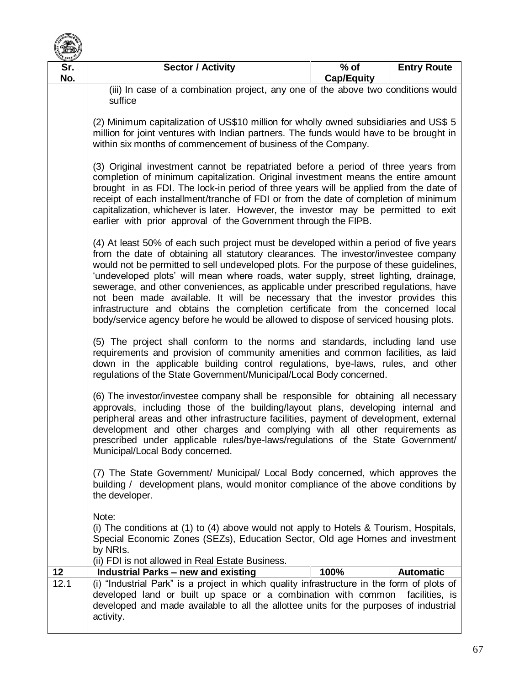

| <b>BANK</b><br>Sr.<br>No. | <b>Sector / Activity</b>                                                                                                                                                                                                                                                                                                                                                                                                                                                                                                                                                                                                                                                                                                                                                                                                                                                                                                                                                                                                                                                                                                                                                                                                                                                                                                                                                                                                                                                              | $%$ of<br><b>Cap/Equity</b> | <b>Entry Route</b> |  |
|---------------------------|---------------------------------------------------------------------------------------------------------------------------------------------------------------------------------------------------------------------------------------------------------------------------------------------------------------------------------------------------------------------------------------------------------------------------------------------------------------------------------------------------------------------------------------------------------------------------------------------------------------------------------------------------------------------------------------------------------------------------------------------------------------------------------------------------------------------------------------------------------------------------------------------------------------------------------------------------------------------------------------------------------------------------------------------------------------------------------------------------------------------------------------------------------------------------------------------------------------------------------------------------------------------------------------------------------------------------------------------------------------------------------------------------------------------------------------------------------------------------------------|-----------------------------|--------------------|--|
|                           | (iii) In case of a combination project, any one of the above two conditions would<br>suffice                                                                                                                                                                                                                                                                                                                                                                                                                                                                                                                                                                                                                                                                                                                                                                                                                                                                                                                                                                                                                                                                                                                                                                                                                                                                                                                                                                                          |                             |                    |  |
|                           | (2) Minimum capitalization of US\$10 million for wholly owned subsidiaries and US\$ 5<br>million for joint ventures with Indian partners. The funds would have to be brought in<br>within six months of commencement of business of the Company.<br>(3) Original investment cannot be repatriated before a period of three years from<br>completion of minimum capitalization. Original investment means the entire amount<br>brought in as FDI. The lock-in period of three years will be applied from the date of<br>receipt of each installment/tranche of FDI or from the date of completion of minimum<br>capitalization, whichever is later. However, the investor may be permitted to exit<br>earlier with prior approval of the Government through the FIPB.<br>(4) At least 50% of each such project must be developed within a period of five years<br>from the date of obtaining all statutory clearances. The investor/investee company<br>would not be permitted to sell undeveloped plots. For the purpose of these guidelines,<br>'undeveloped plots' will mean where roads, water supply, street lighting, drainage,<br>sewerage, and other conveniences, as applicable under prescribed regulations, have<br>not been made available. It will be necessary that the investor provides this<br>infrastructure and obtains the completion certificate from the concerned local<br>body/service agency before he would be allowed to dispose of serviced housing plots. |                             |                    |  |
|                           |                                                                                                                                                                                                                                                                                                                                                                                                                                                                                                                                                                                                                                                                                                                                                                                                                                                                                                                                                                                                                                                                                                                                                                                                                                                                                                                                                                                                                                                                                       |                             |                    |  |
|                           |                                                                                                                                                                                                                                                                                                                                                                                                                                                                                                                                                                                                                                                                                                                                                                                                                                                                                                                                                                                                                                                                                                                                                                                                                                                                                                                                                                                                                                                                                       |                             |                    |  |
|                           | (5) The project shall conform to the norms and standards, including land use<br>requirements and provision of community amenities and common facilities, as laid<br>down in the applicable building control regulations, bye-laws, rules, and other<br>regulations of the State Government/Municipal/Local Body concerned.<br>(6) The investor/investee company shall be responsible for obtaining all necessary<br>approvals, including those of the building/layout plans, developing internal and<br>peripheral areas and other infrastructure facilities, payment of development, external<br>development and other charges and complying with all other requirements as<br>prescribed under applicable rules/bye-laws/regulations of the State Government/<br>Municipal/Local Body concerned.<br>(7) The State Government/ Municipal/ Local Body concerned, which approves the<br>building / development plans, would monitor compliance of the above conditions by<br>the developer.                                                                                                                                                                                                                                                                                                                                                                                                                                                                                            |                             |                    |  |
|                           |                                                                                                                                                                                                                                                                                                                                                                                                                                                                                                                                                                                                                                                                                                                                                                                                                                                                                                                                                                                                                                                                                                                                                                                                                                                                                                                                                                                                                                                                                       |                             |                    |  |
|                           |                                                                                                                                                                                                                                                                                                                                                                                                                                                                                                                                                                                                                                                                                                                                                                                                                                                                                                                                                                                                                                                                                                                                                                                                                                                                                                                                                                                                                                                                                       |                             |                    |  |
| 12                        | Note:<br>(i) The conditions at (1) to (4) above would not apply to Hotels & Tourism, Hospitals,<br>Special Economic Zones (SEZs), Education Sector, Old age Homes and investment<br>by NRIs.<br>(ii) FDI is not allowed in Real Estate Business.<br><b>Industrial Parks - new and existing</b>                                                                                                                                                                                                                                                                                                                                                                                                                                                                                                                                                                                                                                                                                                                                                                                                                                                                                                                                                                                                                                                                                                                                                                                        | 100%                        | <b>Automatic</b>   |  |
| 12.1                      | (i) "Industrial Park" is a project in which quality infrastructure in the form of plots of<br>developed land or built up space or a combination with common<br>developed and made available to all the allottee units for the purposes of industrial<br>activity.                                                                                                                                                                                                                                                                                                                                                                                                                                                                                                                                                                                                                                                                                                                                                                                                                                                                                                                                                                                                                                                                                                                                                                                                                     |                             | facilities, is     |  |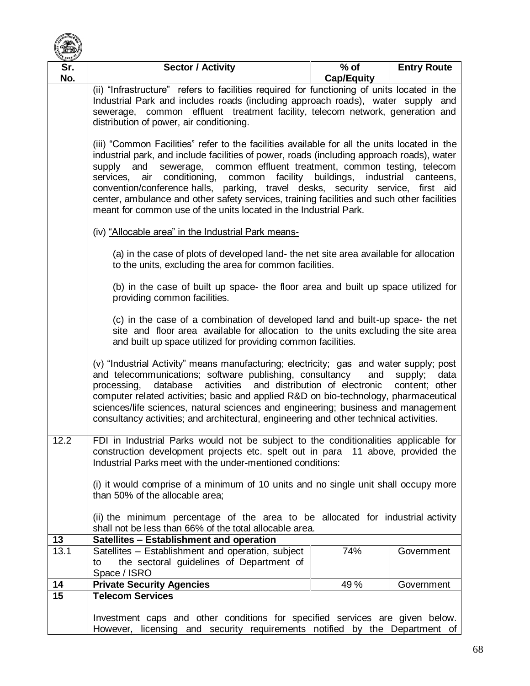

| Sr.        | <b>Sector / Activity</b>                                                                                                                                                      | $%$ of            | <b>Entry Route</b> |
|------------|-------------------------------------------------------------------------------------------------------------------------------------------------------------------------------|-------------------|--------------------|
| No.        |                                                                                                                                                                               | <b>Cap/Equity</b> |                    |
|            | (ii) "Infrastructure" refers to facilities required for functioning of units located in the                                                                                   |                   |                    |
|            | Industrial Park and includes roads (including approach roads), water supply and                                                                                               |                   |                    |
|            | common effluent treatment facility, telecom network, generation and<br>sewerage,                                                                                              |                   |                    |
|            | distribution of power, air conditioning.                                                                                                                                      |                   |                    |
|            |                                                                                                                                                                               |                   |                    |
|            | (iii) "Common Facilities" refer to the facilities available for all the units located in the                                                                                  |                   |                    |
|            | industrial park, and include facilities of power, roads (including approach roads), water                                                                                     |                   |                    |
|            | sewerage, common effluent treatment, common testing, telecom<br>and<br>supply                                                                                                 |                   |                    |
|            | common facility buildings,<br>industrial<br>services,<br>air<br>conditioning,<br>canteens,<br>convention/conference halls, parking, travel desks, security service, first aid |                   |                    |
|            | center, ambulance and other safety services, training facilities and such other facilities                                                                                    |                   |                    |
|            | meant for common use of the units located in the Industrial Park.                                                                                                             |                   |                    |
|            |                                                                                                                                                                               |                   |                    |
|            | (iv) "Allocable area" in the Industrial Park means-                                                                                                                           |                   |                    |
|            |                                                                                                                                                                               |                   |                    |
|            | (a) in the case of plots of developed land- the net site area available for allocation                                                                                        |                   |                    |
|            | to the units, excluding the area for common facilities.                                                                                                                       |                   |                    |
|            |                                                                                                                                                                               |                   |                    |
|            | (b) in the case of built up space- the floor area and built up space utilized for                                                                                             |                   |                    |
|            | providing common facilities.                                                                                                                                                  |                   |                    |
|            |                                                                                                                                                                               |                   |                    |
|            | (c) in the case of a combination of developed land and built-up space- the net<br>site and floor area available for allocation to the units excluding the site area           |                   |                    |
|            | and built up space utilized for providing common facilities.                                                                                                                  |                   |                    |
|            |                                                                                                                                                                               |                   |                    |
|            | (v) "Industrial Activity" means manufacturing; electricity; gas and water supply; post                                                                                        |                   |                    |
|            | and telecommunications; software publishing, consultancy<br>and<br>data<br>supply;                                                                                            |                   |                    |
|            | database activities and distribution of electronic<br>processing,                                                                                                             |                   | content; other     |
|            | computer related activities; basic and applied R&D on bio-technology, pharmaceutical                                                                                          |                   |                    |
|            | sciences/life sciences, natural sciences and engineering; business and management                                                                                             |                   |                    |
|            | consultancy activities; and architectural, engineering and other technical activities.                                                                                        |                   |                    |
| 12.2       | FDI in Industrial Parks would not be subject to the conditionalities applicable for                                                                                           |                   |                    |
|            | construction development projects etc. spelt out in para 11 above, provided the                                                                                               |                   |                    |
|            | Industrial Parks meet with the under-mentioned conditions:                                                                                                                    |                   |                    |
|            |                                                                                                                                                                               |                   |                    |
|            | (i) it would comprise of a minimum of 10 units and no single unit shall occupy more                                                                                           |                   |                    |
|            | than 50% of the allocable area;                                                                                                                                               |                   |                    |
|            |                                                                                                                                                                               |                   |                    |
|            | (ii) the minimum percentage of the area to be allocated for industrial activity                                                                                               |                   |                    |
|            | shall not be less than 66% of the total allocable area.                                                                                                                       |                   |                    |
| 13<br>13.1 | Satellites - Establishment and operation<br>Satellites - Establishment and operation, subject                                                                                 | 74%               | Government         |
|            | the sectoral guidelines of Department of<br>to                                                                                                                                |                   |                    |
|            | Space / ISRO                                                                                                                                                                  |                   |                    |
| 14         | <b>Private Security Agencies</b>                                                                                                                                              | 49%               | Government         |
| 15         | <b>Telecom Services</b>                                                                                                                                                       |                   |                    |
|            |                                                                                                                                                                               |                   |                    |
|            | Investment caps and other conditions for specified services are given below.                                                                                                  |                   |                    |
|            | However, licensing and security requirements notified by the Department of                                                                                                    |                   |                    |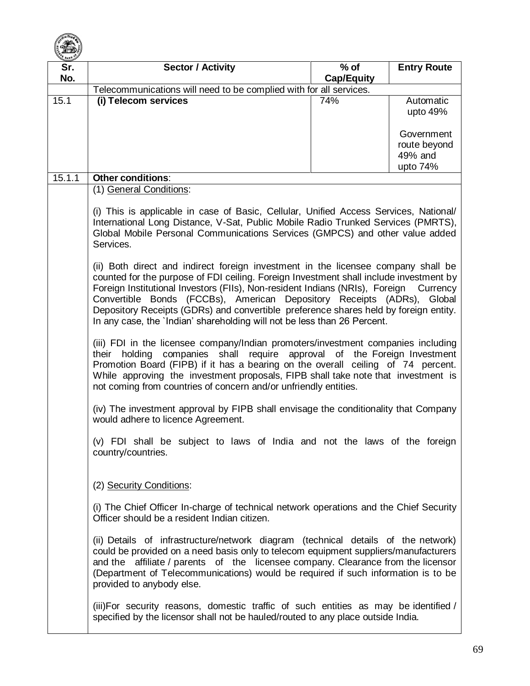

| <b>EANK</b><br>Sr.<br>No.                                                                                                                                                                                                                                                                                                                                                                                  | <b>Sector / Activity</b>                                                                                                                                                                                                                                                                                                                                                                                                                                                                                              | $%$ of<br><b>Cap/Equity</b> | <b>Entry Route</b>                                |
|------------------------------------------------------------------------------------------------------------------------------------------------------------------------------------------------------------------------------------------------------------------------------------------------------------------------------------------------------------------------------------------------------------|-----------------------------------------------------------------------------------------------------------------------------------------------------------------------------------------------------------------------------------------------------------------------------------------------------------------------------------------------------------------------------------------------------------------------------------------------------------------------------------------------------------------------|-----------------------------|---------------------------------------------------|
|                                                                                                                                                                                                                                                                                                                                                                                                            | Telecommunications will need to be complied with for all services.                                                                                                                                                                                                                                                                                                                                                                                                                                                    |                             |                                                   |
| 15.1                                                                                                                                                                                                                                                                                                                                                                                                       | (i) Telecom services                                                                                                                                                                                                                                                                                                                                                                                                                                                                                                  | 74%                         | Automatic<br>upto 49%                             |
|                                                                                                                                                                                                                                                                                                                                                                                                            |                                                                                                                                                                                                                                                                                                                                                                                                                                                                                                                       |                             | Government<br>route beyond<br>49% and<br>upto 74% |
| 15.1.1                                                                                                                                                                                                                                                                                                                                                                                                     | <b>Other conditions:</b>                                                                                                                                                                                                                                                                                                                                                                                                                                                                                              |                             |                                                   |
|                                                                                                                                                                                                                                                                                                                                                                                                            | (1) General Conditions:                                                                                                                                                                                                                                                                                                                                                                                                                                                                                               |                             |                                                   |
|                                                                                                                                                                                                                                                                                                                                                                                                            | (i) This is applicable in case of Basic, Cellular, Unified Access Services, National/<br>International Long Distance, V-Sat, Public Mobile Radio Trunked Services (PMRTS),<br>Global Mobile Personal Communications Services (GMPCS) and other value added<br>Services.                                                                                                                                                                                                                                               |                             |                                                   |
|                                                                                                                                                                                                                                                                                                                                                                                                            | (ii) Both direct and indirect foreign investment in the licensee company shall be<br>counted for the purpose of FDI ceiling. Foreign Investment shall include investment by<br>Foreign Institutional Investors (FIIs), Non-resident Indians (NRIs), Foreign<br>Currency<br>Convertible Bonds (FCCBs), American Depository Receipts (ADRs), Global<br>Depository Receipts (GDRs) and convertible preference shares held by foreign entity.<br>In any case, the 'Indian' shareholding will not be less than 26 Percent. |                             |                                                   |
| (iii) FDI in the licensee company/Indian promoters/investment companies including<br>their holding companies shall require approval of the Foreign Investment<br>Promotion Board (FIPB) if it has a bearing on the overall ceiling of 74 percent.<br>While approving the investment proposals, FIPB shall take note that investment is<br>not coming from countries of concern and/or unfriendly entities. |                                                                                                                                                                                                                                                                                                                                                                                                                                                                                                                       |                             |                                                   |
|                                                                                                                                                                                                                                                                                                                                                                                                            | (iv) The investment approval by FIPB shall envisage the conditionality that Company<br>would adhere to licence Agreement.                                                                                                                                                                                                                                                                                                                                                                                             |                             |                                                   |
|                                                                                                                                                                                                                                                                                                                                                                                                            | (v) FDI shall be subject to laws of India and not the laws of the foreign<br>country/countries.                                                                                                                                                                                                                                                                                                                                                                                                                       |                             |                                                   |
|                                                                                                                                                                                                                                                                                                                                                                                                            | (2) Security Conditions:                                                                                                                                                                                                                                                                                                                                                                                                                                                                                              |                             |                                                   |
|                                                                                                                                                                                                                                                                                                                                                                                                            | (i) The Chief Officer In-charge of technical network operations and the Chief Security<br>Officer should be a resident Indian citizen.                                                                                                                                                                                                                                                                                                                                                                                |                             |                                                   |
|                                                                                                                                                                                                                                                                                                                                                                                                            | (ii) Details of infrastructure/network diagram (technical details of the network)<br>could be provided on a need basis only to telecom equipment suppliers/manufacturers<br>and the affiliate / parents of the licensee company. Clearance from the licensor<br>(Department of Telecommunications) would be required if such information is to be<br>provided to anybody else.                                                                                                                                        |                             |                                                   |
|                                                                                                                                                                                                                                                                                                                                                                                                            | (iii) For security reasons, domestic traffic of such entities as may be identified /<br>specified by the licensor shall not be hauled/routed to any place outside India.                                                                                                                                                                                                                                                                                                                                              |                             |                                                   |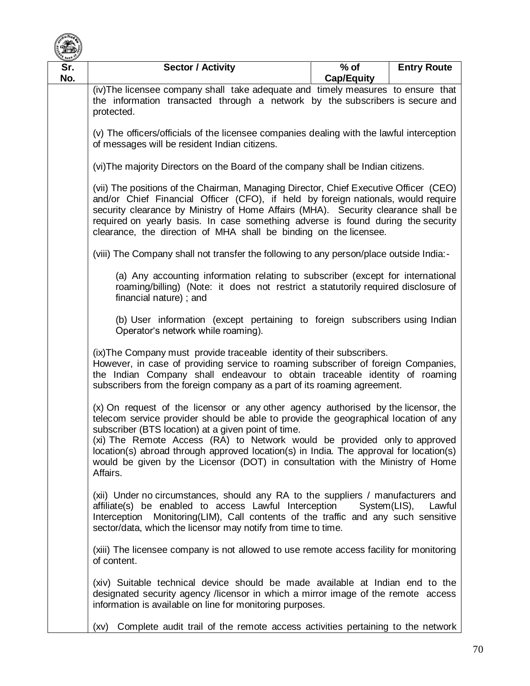

| E BANK <sup>O</sup><br>Sr. | <b>Sector / Activity</b>                                                                                                                                                                                                                                                                                                                                                                                                                                                                                      | $%$ of            | <b>Entry Route</b> |  |
|----------------------------|---------------------------------------------------------------------------------------------------------------------------------------------------------------------------------------------------------------------------------------------------------------------------------------------------------------------------------------------------------------------------------------------------------------------------------------------------------------------------------------------------------------|-------------------|--------------------|--|
| No.                        | (iv) The licensee company shall take adequate and timely measures to ensure that                                                                                                                                                                                                                                                                                                                                                                                                                              | <b>Cap/Equity</b> |                    |  |
|                            | the information transacted through a network by the subscribers is secure and<br>protected.                                                                                                                                                                                                                                                                                                                                                                                                                   |                   |                    |  |
|                            | (v) The officers/officials of the licensee companies dealing with the lawful interception<br>of messages will be resident Indian citizens.                                                                                                                                                                                                                                                                                                                                                                    |                   |                    |  |
|                            | (vi) The majority Directors on the Board of the company shall be Indian citizens.<br>(vii) The positions of the Chairman, Managing Director, Chief Executive Officer (CEO)<br>and/or Chief Financial Officer (CFO), if held by foreign nationals, would require<br>security clearance by Ministry of Home Affairs (MHA). Security clearance shall be<br>required on yearly basis. In case something adverse is found during the security<br>clearance, the direction of MHA shall be binding on the licensee. |                   |                    |  |
|                            |                                                                                                                                                                                                                                                                                                                                                                                                                                                                                                               |                   |                    |  |
|                            | (viii) The Company shall not transfer the following to any person/place outside India:-                                                                                                                                                                                                                                                                                                                                                                                                                       |                   |                    |  |
|                            | (a) Any accounting information relating to subscriber (except for international<br>roaming/billing) (Note: it does not restrict a statutorily required disclosure of<br>financial nature); and<br>(b) User information (except pertaining to foreign subscribers using Indian<br>Operator's network while roaming).                                                                                                                                                                                           |                   |                    |  |
|                            |                                                                                                                                                                                                                                                                                                                                                                                                                                                                                                               |                   |                    |  |
|                            | (ix) The Company must provide traceable identity of their subscribers.<br>However, in case of providing service to roaming subscriber of foreign Companies,<br>the Indian Company shall endeavour to obtain traceable identity of roaming<br>subscribers from the foreign company as a part of its roaming agreement.                                                                                                                                                                                         |                   |                    |  |
|                            | (x) On request of the licensor or any other agency authorised by the licensor, the<br>telecom service provider should be able to provide the geographical location of any<br>subscriber (BTS location) at a given point of time.<br>(xi) The Remote Access (RA) to Network would be provided only to approved<br>location(s) abroad through approved location(s) in India. The approval for location(s)<br>would be given by the Licensor (DOT) in consultation with the Ministry of Home<br>Affairs.         |                   |                    |  |
|                            | (xii) Under no circumstances, should any RA to the suppliers / manufacturers and<br>affiliate(s) be enabled to access Lawful Interception System(LIS),<br>Lawful<br>Interception Monitoring(LIM), Call contents of the traffic and any such sensitive<br>sector/data, which the licensor may notify from time to time.<br>(xiii) The licensee company is not allowed to use remote access facility for monitoring<br>of content.                                                                              |                   |                    |  |
|                            |                                                                                                                                                                                                                                                                                                                                                                                                                                                                                                               |                   |                    |  |
|                            | (xiv) Suitable technical device should be made available at Indian end to the<br>designated security agency /licensor in which a mirror image of the remote access<br>information is available on line for monitoring purposes.                                                                                                                                                                                                                                                                               |                   |                    |  |
|                            | Complete audit trail of the remote access activities pertaining to the network<br>(xv)                                                                                                                                                                                                                                                                                                                                                                                                                        |                   |                    |  |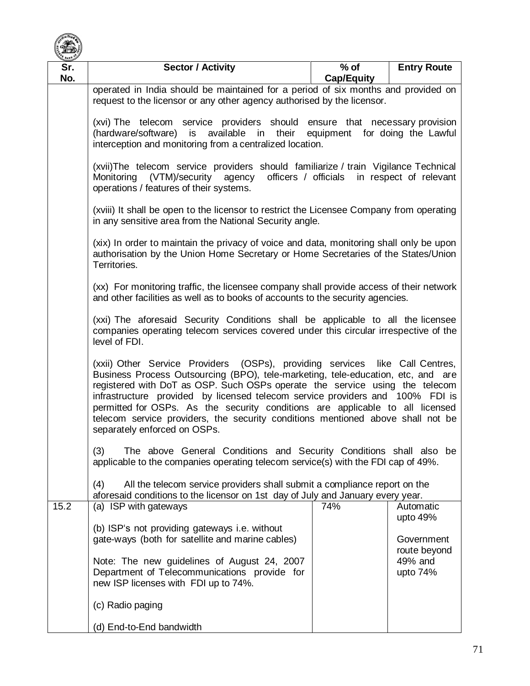

| <b>BANK</b><br>Sr.                                                                                                                                                                       | <b>Sector / Activity</b>                                                                                                                                                                                                                                                                                                                                                                                                                                                                                                             | $%$ of            | <b>Entry Route</b>    |  |
|------------------------------------------------------------------------------------------------------------------------------------------------------------------------------------------|--------------------------------------------------------------------------------------------------------------------------------------------------------------------------------------------------------------------------------------------------------------------------------------------------------------------------------------------------------------------------------------------------------------------------------------------------------------------------------------------------------------------------------------|-------------------|-----------------------|--|
| No.                                                                                                                                                                                      |                                                                                                                                                                                                                                                                                                                                                                                                                                                                                                                                      | <b>Cap/Equity</b> |                       |  |
|                                                                                                                                                                                          | operated in India should be maintained for a period of six months and provided on                                                                                                                                                                                                                                                                                                                                                                                                                                                    |                   |                       |  |
|                                                                                                                                                                                          | request to the licensor or any other agency authorised by the licensor.                                                                                                                                                                                                                                                                                                                                                                                                                                                              |                   |                       |  |
|                                                                                                                                                                                          | (xvi) The telecom service providers should ensure that necessary provision                                                                                                                                                                                                                                                                                                                                                                                                                                                           |                   |                       |  |
|                                                                                                                                                                                          | (hardware/software) is available in their equipment for doing the Lawful                                                                                                                                                                                                                                                                                                                                                                                                                                                             |                   |                       |  |
|                                                                                                                                                                                          | interception and monitoring from a centralized location.                                                                                                                                                                                                                                                                                                                                                                                                                                                                             |                   |                       |  |
|                                                                                                                                                                                          | (xvii)The telecom service providers should familiarize / train Vigilance Technical<br>Monitoring (VTM)/security agency<br>officers / officials<br>in respect of relevant                                                                                                                                                                                                                                                                                                                                                             |                   |                       |  |
|                                                                                                                                                                                          | operations / features of their systems.                                                                                                                                                                                                                                                                                                                                                                                                                                                                                              |                   |                       |  |
|                                                                                                                                                                                          | (xviii) It shall be open to the licensor to restrict the Licensee Company from operating<br>in any sensitive area from the National Security angle.                                                                                                                                                                                                                                                                                                                                                                                  |                   |                       |  |
|                                                                                                                                                                                          |                                                                                                                                                                                                                                                                                                                                                                                                                                                                                                                                      |                   |                       |  |
|                                                                                                                                                                                          | (xix) In order to maintain the privacy of voice and data, monitoring shall only be upon<br>authorisation by the Union Home Secretary or Home Secretaries of the States/Union<br>Territories.<br>(xx) For monitoring traffic, the licensee company shall provide access of their network<br>and other facilities as well as to books of accounts to the security agencies.                                                                                                                                                            |                   |                       |  |
|                                                                                                                                                                                          |                                                                                                                                                                                                                                                                                                                                                                                                                                                                                                                                      |                   |                       |  |
|                                                                                                                                                                                          |                                                                                                                                                                                                                                                                                                                                                                                                                                                                                                                                      |                   |                       |  |
| (xxi) The aforesaid Security Conditions shall be applicable to all the licensee<br>companies operating telecom services covered under this circular irrespective of the<br>level of FDI. |                                                                                                                                                                                                                                                                                                                                                                                                                                                                                                                                      |                   |                       |  |
|                                                                                                                                                                                          | (xxii) Other Service Providers (OSPs), providing services like Call Centres,<br>Business Process Outsourcing (BPO), tele-marketing, tele-education, etc, and are<br>registered with DoT as OSP. Such OSPs operate the service using the telecom<br>infrastructure provided by licensed telecom service providers and 100% FDI is<br>permitted for OSPs. As the security conditions are applicable to all licensed<br>telecom service providers, the security conditions mentioned above shall not be<br>separately enforced on OSPs. |                   |                       |  |
|                                                                                                                                                                                          | The above General Conditions and Security Conditions shall also be<br>(3)<br>applicable to the companies operating telecom service(s) with the FDI cap of 49%.                                                                                                                                                                                                                                                                                                                                                                       |                   |                       |  |
|                                                                                                                                                                                          |                                                                                                                                                                                                                                                                                                                                                                                                                                                                                                                                      |                   |                       |  |
|                                                                                                                                                                                          | All the telecom service providers shall submit a compliance report on the<br>(4)<br>aforesaid conditions to the licensor on 1st day of July and January every year.                                                                                                                                                                                                                                                                                                                                                                  |                   |                       |  |
| 15.2                                                                                                                                                                                     | (a) ISP with gateways                                                                                                                                                                                                                                                                                                                                                                                                                                                                                                                | 74%               | Automatic             |  |
|                                                                                                                                                                                          |                                                                                                                                                                                                                                                                                                                                                                                                                                                                                                                                      |                   | upto 49%              |  |
|                                                                                                                                                                                          | (b) ISP's not providing gateways i.e. without<br>gate-ways (both for satellite and marine cables)                                                                                                                                                                                                                                                                                                                                                                                                                                    |                   | Government            |  |
|                                                                                                                                                                                          |                                                                                                                                                                                                                                                                                                                                                                                                                                                                                                                                      |                   | route beyond          |  |
|                                                                                                                                                                                          | Note: The new guidelines of August 24, 2007<br>Department of Telecommunications provide for                                                                                                                                                                                                                                                                                                                                                                                                                                          |                   | 49% and<br>upto $74%$ |  |
|                                                                                                                                                                                          | new ISP licenses with FDI up to 74%.                                                                                                                                                                                                                                                                                                                                                                                                                                                                                                 |                   |                       |  |
|                                                                                                                                                                                          | (c) Radio paging                                                                                                                                                                                                                                                                                                                                                                                                                                                                                                                     |                   |                       |  |
|                                                                                                                                                                                          | (d) End-to-End bandwidth                                                                                                                                                                                                                                                                                                                                                                                                                                                                                                             |                   |                       |  |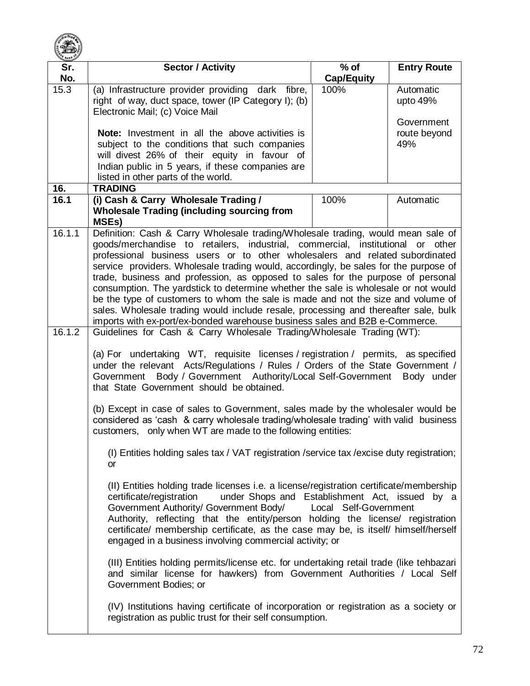

| Sr.              | <b>Sector / Activity</b>                                                                                                                                                                                                                                                                                                                                                                                                                                                                                                                                                                                                                                                                                                                                                                                                                               | $%$ of                | <b>Entry Route</b>                  |
|------------------|--------------------------------------------------------------------------------------------------------------------------------------------------------------------------------------------------------------------------------------------------------------------------------------------------------------------------------------------------------------------------------------------------------------------------------------------------------------------------------------------------------------------------------------------------------------------------------------------------------------------------------------------------------------------------------------------------------------------------------------------------------------------------------------------------------------------------------------------------------|-----------------------|-------------------------------------|
| No.              |                                                                                                                                                                                                                                                                                                                                                                                                                                                                                                                                                                                                                                                                                                                                                                                                                                                        | <b>Cap/Equity</b>     |                                     |
| 15.3             | (a) Infrastructure provider providing dark fibre,<br>right of way, duct space, tower (IP Category I); (b)<br>Electronic Mail; (c) Voice Mail                                                                                                                                                                                                                                                                                                                                                                                                                                                                                                                                                                                                                                                                                                           | 100%                  | Automatic<br>upto 49%<br>Government |
|                  | <b>Note:</b> Investment in all the above activities is<br>subject to the conditions that such companies<br>will divest 26% of their equity in favour of                                                                                                                                                                                                                                                                                                                                                                                                                                                                                                                                                                                                                                                                                                |                       | route beyond<br>49%                 |
|                  | Indian public in 5 years, if these companies are<br>listed in other parts of the world.                                                                                                                                                                                                                                                                                                                                                                                                                                                                                                                                                                                                                                                                                                                                                                |                       |                                     |
| 16.              | <b>TRADING</b>                                                                                                                                                                                                                                                                                                                                                                                                                                                                                                                                                                                                                                                                                                                                                                                                                                         |                       |                                     |
| 16.1             | (i) Cash & Carry Wholesale Trading /<br><b>Wholesale Trading (including sourcing from</b><br><b>MSEs)</b>                                                                                                                                                                                                                                                                                                                                                                                                                                                                                                                                                                                                                                                                                                                                              | 100%                  | Automatic                           |
| 16.1.1<br>16.1.2 | Definition: Cash & Carry Wholesale trading/Wholesale trading, would mean sale of<br>goods/merchandise to retailers, industrial, commercial, institutional or other<br>professional business users or to other wholesalers and related subordinated<br>service providers. Wholesale trading would, accordingly, be sales for the purpose of<br>trade, business and profession, as opposed to sales for the purpose of personal<br>consumption. The yardstick to determine whether the sale is wholesale or not would<br>be the type of customers to whom the sale is made and not the size and volume of<br>sales. Wholesale trading would include resale, processing and thereafter sale, bulk<br>imports with ex-port/ex-bonded warehouse business sales and B2B e-Commerce.<br>Guidelines for Cash & Carry Wholesale Trading/Wholesale Trading (WT): |                       |                                     |
|                  | (a) For undertaking WT, requisite licenses / registration / permits, as specified<br>under the relevant Acts/Regulations / Rules / Orders of the State Government /<br>Government Body / Government Authority/Local Self-Government Body under<br>that State Government should be obtained.                                                                                                                                                                                                                                                                                                                                                                                                                                                                                                                                                            |                       |                                     |
|                  | (b) Except in case of sales to Government, sales made by the wholesaler would be<br>considered as 'cash & carry wholesale trading/wholesale trading' with valid business<br>customers, only when WT are made to the following entities:                                                                                                                                                                                                                                                                                                                                                                                                                                                                                                                                                                                                                |                       |                                     |
|                  | (I) Entities holding sales tax / VAT registration /service tax / excise duty registration;<br>or                                                                                                                                                                                                                                                                                                                                                                                                                                                                                                                                                                                                                                                                                                                                                       |                       |                                     |
|                  | (II) Entities holding trade licenses i.e. a license/registration certificate/membership<br>under Shops and Establishment Act, issued by a<br>certificate/registration<br>Government Authority/ Government Body/<br>Authority, reflecting that the entity/person holding the license/ registration<br>certificate/ membership certificate, as the case may be, is itself/ himself/herself<br>engaged in a business involving commercial activity; or                                                                                                                                                                                                                                                                                                                                                                                                    | Local Self-Government |                                     |
|                  | (III) Entities holding permits/license etc. for undertaking retail trade (like tehbazari<br>and similar license for hawkers) from Government Authorities / Local Self<br>Government Bodies; or                                                                                                                                                                                                                                                                                                                                                                                                                                                                                                                                                                                                                                                         |                       |                                     |
|                  | (IV) Institutions having certificate of incorporation or registration as a society or<br>registration as public trust for their self consumption.                                                                                                                                                                                                                                                                                                                                                                                                                                                                                                                                                                                                                                                                                                      |                       |                                     |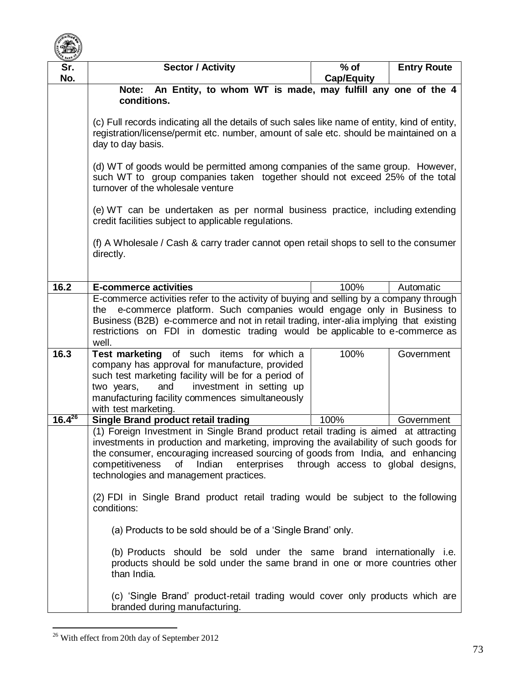

| $\sim$<br>Sr.<br>No. | <b>Sector / Activity</b>                                                                                                                                                                                                                                                                                                                                                                    | $%$ of<br><b>Cap/Equity</b> | <b>Entry Route</b> |  |  |
|----------------------|---------------------------------------------------------------------------------------------------------------------------------------------------------------------------------------------------------------------------------------------------------------------------------------------------------------------------------------------------------------------------------------------|-----------------------------|--------------------|--|--|
|                      | An Entity, to whom WT is made, may fulfill any one of the 4<br>Note:<br>conditions.                                                                                                                                                                                                                                                                                                         |                             |                    |  |  |
|                      | (c) Full records indicating all the details of such sales like name of entity, kind of entity,<br>registration/license/permit etc. number, amount of sale etc. should be maintained on a<br>day to day basis.                                                                                                                                                                               |                             |                    |  |  |
|                      | (d) WT of goods would be permitted among companies of the same group. However,<br>such WT to group companies taken together should not exceed 25% of the total<br>turnover of the wholesale venture                                                                                                                                                                                         |                             |                    |  |  |
|                      | (e) WT can be undertaken as per normal business practice, including extending<br>credit facilities subject to applicable regulations.                                                                                                                                                                                                                                                       |                             |                    |  |  |
|                      | (f) A Wholesale / Cash & carry trader cannot open retail shops to sell to the consumer<br>directly.                                                                                                                                                                                                                                                                                         |                             |                    |  |  |
| 16.2                 | <b>E-commerce activities</b>                                                                                                                                                                                                                                                                                                                                                                | 100%                        | Automatic          |  |  |
|                      | E-commerce activities refer to the activity of buying and selling by a company through<br>e-commerce platform. Such companies would engage only in Business to<br>the<br>Business (B2B) e-commerce and not in retail trading, inter-alia implying that existing<br>restrictions on FDI in domestic trading would be applicable to e-commerce as<br>well.                                    |                             |                    |  |  |
| 16.3                 | Test marketing of such items for which a<br>company has approval for manufacture, provided<br>such test marketing facility will be for a period of<br>investment in setting up<br>and<br>two years,<br>manufacturing facility commences simultaneously<br>with test marketing.                                                                                                              | 100%                        | Government         |  |  |
| $16.4^{26}$          | <b>Single Brand product retail trading</b>                                                                                                                                                                                                                                                                                                                                                  | 100%                        | Government         |  |  |
|                      | (1) Foreign Investment in Single Brand product retail trading is aimed at attracting<br>investments in production and marketing, improving the availability of such goods for<br>the consumer, encouraging increased sourcing of goods from India, and enhancing<br>competitiveness<br>of Indian<br>enterprises through access to global designs,<br>technologies and management practices. |                             |                    |  |  |
|                      | (2) FDI in Single Brand product retail trading would be subject to the following<br>conditions:                                                                                                                                                                                                                                                                                             |                             |                    |  |  |
|                      | (a) Products to be sold should be of a 'Single Brand' only.                                                                                                                                                                                                                                                                                                                                 |                             |                    |  |  |
|                      | (b) Products should be sold under the same brand internationally i.e.<br>products should be sold under the same brand in one or more countries other<br>than India.                                                                                                                                                                                                                         |                             |                    |  |  |
|                      | (c) 'Single Brand' product-retail trading would cover only products which are<br>branded during manufacturing.                                                                                                                                                                                                                                                                              |                             |                    |  |  |

 $\overline{a}$  $26$  With effect from 20th day of September 2012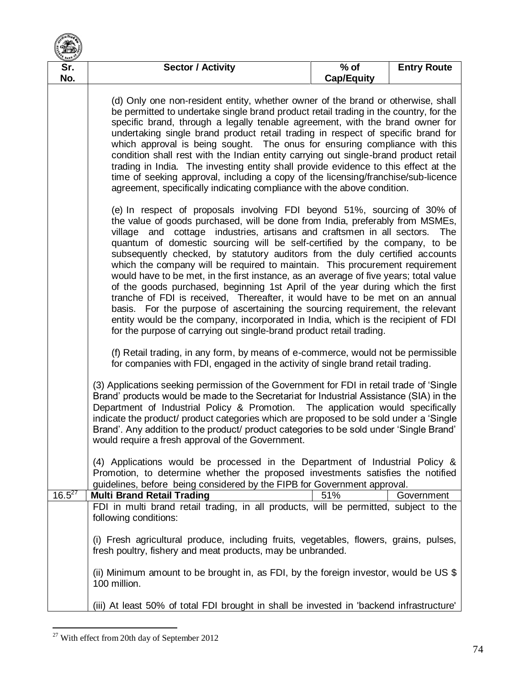| <b>BANK</b> |                                                                                                                                                                                                                                                                                                                                                                                                                                                                                                                                                                                                                                                                                                                                                                                                                                                                                                                                                                                                                                                                                                                                                                          |                             |                    |  |
|-------------|--------------------------------------------------------------------------------------------------------------------------------------------------------------------------------------------------------------------------------------------------------------------------------------------------------------------------------------------------------------------------------------------------------------------------------------------------------------------------------------------------------------------------------------------------------------------------------------------------------------------------------------------------------------------------------------------------------------------------------------------------------------------------------------------------------------------------------------------------------------------------------------------------------------------------------------------------------------------------------------------------------------------------------------------------------------------------------------------------------------------------------------------------------------------------|-----------------------------|--------------------|--|
| Sr.<br>No.  | <b>Sector / Activity</b>                                                                                                                                                                                                                                                                                                                                                                                                                                                                                                                                                                                                                                                                                                                                                                                                                                                                                                                                                                                                                                                                                                                                                 | $%$ of<br><b>Cap/Equity</b> | <b>Entry Route</b> |  |
|             | (d) Only one non-resident entity, whether owner of the brand or otherwise, shall<br>be permitted to undertake single brand product retail trading in the country, for the<br>specific brand, through a legally tenable agreement, with the brand owner for<br>undertaking single brand product retail trading in respect of specific brand for<br>which approval is being sought. The onus for ensuring compliance with this<br>condition shall rest with the Indian entity carrying out single-brand product retail<br>trading in India. The investing entity shall provide evidence to this effect at the<br>time of seeking approval, including a copy of the licensing/franchise/sub-licence<br>agreement, specifically indicating compliance with the above condition.                                                                                                                                                                                                                                                                                                                                                                                              |                             |                    |  |
|             | (e) In respect of proposals involving FDI beyond 51%, sourcing of 30% of<br>the value of goods purchased, will be done from India, preferably from MSMEs,<br>village and cottage industries, artisans and craftsmen in all sectors.<br>The<br>quantum of domestic sourcing will be self-certified by the company, to be<br>subsequently checked, by statutory auditors from the duly certified accounts<br>which the company will be required to maintain. This procurement requirement<br>would have to be met, in the first instance, as an average of five years; total value<br>of the goods purchased, beginning 1st April of the year during which the first<br>tranche of FDI is received, Thereafter, it would have to be met on an annual<br>basis. For the purpose of ascertaining the sourcing requirement, the relevant<br>entity would be the company, incorporated in India, which is the recipient of FDI<br>for the purpose of carrying out single-brand product retail trading.<br>(f) Retail trading, in any form, by means of e-commerce, would not be permissible<br>for companies with FDI, engaged in the activity of single brand retail trading. |                             |                    |  |
|             |                                                                                                                                                                                                                                                                                                                                                                                                                                                                                                                                                                                                                                                                                                                                                                                                                                                                                                                                                                                                                                                                                                                                                                          |                             |                    |  |
|             | (3) Applications seeking permission of the Government for FDI in retail trade of 'Single<br>Brand' products would be made to the Secretariat for Industrial Assistance (SIA) in the<br>Department of Industrial Policy & Promotion. The application would specifically<br>indicate the product/ product categories which are proposed to be sold under a 'Single<br>Brand'. Any addition to the product/ product categories to be sold under 'Single Brand'<br>would require a fresh approval of the Government.                                                                                                                                                                                                                                                                                                                                                                                                                                                                                                                                                                                                                                                         |                             |                    |  |
| $16.5^{27}$ | (4) Applications would be processed in the Department of Industrial Policy &<br>Promotion, to determine whether the proposed investments satisfies the notified<br>guidelines, before being considered by the FIPB for Government approval.<br><b>Multi Brand Retail Trading</b>                                                                                                                                                                                                                                                                                                                                                                                                                                                                                                                                                                                                                                                                                                                                                                                                                                                                                         | 51%                         | Government         |  |
|             | FDI in multi brand retail trading, in all products, will be permitted, subject to the<br>following conditions:                                                                                                                                                                                                                                                                                                                                                                                                                                                                                                                                                                                                                                                                                                                                                                                                                                                                                                                                                                                                                                                           |                             |                    |  |
|             | (i) Fresh agricultural produce, including fruits, vegetables, flowers, grains, pulses,<br>fresh poultry, fishery and meat products, may be unbranded.                                                                                                                                                                                                                                                                                                                                                                                                                                                                                                                                                                                                                                                                                                                                                                                                                                                                                                                                                                                                                    |                             |                    |  |
|             | (ii) Minimum amount to be brought in, as FDI, by the foreign investor, would be US \$<br>100 million.                                                                                                                                                                                                                                                                                                                                                                                                                                                                                                                                                                                                                                                                                                                                                                                                                                                                                                                                                                                                                                                                    |                             |                    |  |
|             | (iii) At least 50% of total FDI brought in shall be invested in 'backend infrastructure'                                                                                                                                                                                                                                                                                                                                                                                                                                                                                                                                                                                                                                                                                                                                                                                                                                                                                                                                                                                                                                                                                 |                             |                    |  |

 $\overline{a}$  $27$  With effect from 20th day of September 2012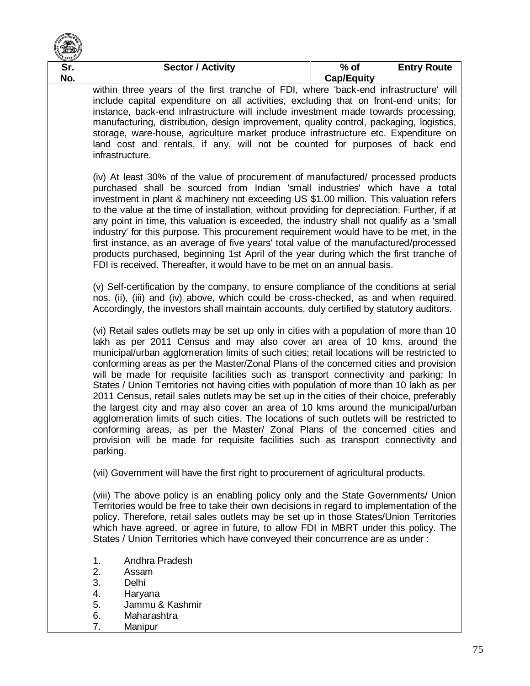

| BANK       |                                                                                                                                                                                                                                                                                                                                                                                                                                                                                                                                                                                                                                                                                                                                                                                                                                                                                                                                                                                                                                                                                                                                                                                                                                                                                                                                                                            |                             |                    |  |
|------------|----------------------------------------------------------------------------------------------------------------------------------------------------------------------------------------------------------------------------------------------------------------------------------------------------------------------------------------------------------------------------------------------------------------------------------------------------------------------------------------------------------------------------------------------------------------------------------------------------------------------------------------------------------------------------------------------------------------------------------------------------------------------------------------------------------------------------------------------------------------------------------------------------------------------------------------------------------------------------------------------------------------------------------------------------------------------------------------------------------------------------------------------------------------------------------------------------------------------------------------------------------------------------------------------------------------------------------------------------------------------------|-----------------------------|--------------------|--|
| Sr.<br>No. | <b>Sector / Activity</b>                                                                                                                                                                                                                                                                                                                                                                                                                                                                                                                                                                                                                                                                                                                                                                                                                                                                                                                                                                                                                                                                                                                                                                                                                                                                                                                                                   | $%$ of<br><b>Cap/Equity</b> | <b>Entry Route</b> |  |
|            | within three years of the first tranche of FDI, where 'back-end infrastructure' will<br>include capital expenditure on all activities, excluding that on front-end units; for<br>instance, back-end infrastructure will include investment made towards processing,<br>manufacturing, distribution, design improvement, quality control, packaging, logistics,<br>storage, ware-house, agriculture market produce infrastructure etc. Expenditure on<br>land cost and rentals, if any, will not be counted for purposes of back end<br>infrastructure.<br>(iv) At least 30% of the value of procurement of manufactured/ processed products<br>purchased shall be sourced from Indian 'small industries' which have a total<br>investment in plant & machinery not exceeding US \$1.00 million. This valuation refers<br>to the value at the time of installation, without providing for depreciation. Further, if at<br>any point in time, this valuation is exceeded, the industry shall not qualify as a 'small<br>industry' for this purpose. This procurement requirement would have to be met, in the<br>first instance, as an average of five years' total value of the manufactured/processed<br>products purchased, beginning 1st April of the year during which the first tranche of<br>FDI is received. Thereafter, it would have to be met on an annual basis. |                             |                    |  |
|            |                                                                                                                                                                                                                                                                                                                                                                                                                                                                                                                                                                                                                                                                                                                                                                                                                                                                                                                                                                                                                                                                                                                                                                                                                                                                                                                                                                            |                             |                    |  |
|            | (v) Self-certification by the company, to ensure compliance of the conditions at serial<br>nos. (ii), (iii) and (iv) above, which could be cross-checked, as and when required.<br>Accordingly, the investors shall maintain accounts, duly certified by statutory auditors.<br>(vi) Retail sales outlets may be set up only in cities with a population of more than 10<br>lakh as per 2011 Census and may also cover an area of 10 kms. around the<br>municipal/urban agglomeration limits of such cities; retail locations will be restricted to<br>conforming areas as per the Master/Zonal Plans of the concerned cities and provision<br>will be made for requisite facilities such as transport connectivity and parking; In<br>States / Union Territories not having cities with population of more than 10 lakh as per<br>2011 Census, retail sales outlets may be set up in the cities of their choice, preferably<br>the largest city and may also cover an area of 10 kms around the municipal/urban<br>agglomeration limits of such cities. The locations of such outlets will be restricted to<br>conforming areas, as per the Master/ Zonal Plans of the concerned cities and<br>provision will be made for requisite facilities such as transport connectivity and<br>parking.                                                                             |                             |                    |  |
|            |                                                                                                                                                                                                                                                                                                                                                                                                                                                                                                                                                                                                                                                                                                                                                                                                                                                                                                                                                                                                                                                                                                                                                                                                                                                                                                                                                                            |                             |                    |  |
|            | (vii) Government will have the first right to procurement of agricultural products.                                                                                                                                                                                                                                                                                                                                                                                                                                                                                                                                                                                                                                                                                                                                                                                                                                                                                                                                                                                                                                                                                                                                                                                                                                                                                        |                             |                    |  |
|            | (viii) The above policy is an enabling policy only and the State Governments/ Union<br>Territories would be free to take their own decisions in regard to implementation of the<br>policy. Therefore, retail sales outlets may be set up in those States/Union Territories<br>which have agreed, or agree in future, to allow FDI in MBRT under this policy. The<br>States / Union Territories which have conveyed their concurrence are as under :                                                                                                                                                                                                                                                                                                                                                                                                                                                                                                                                                                                                                                                                                                                                                                                                                                                                                                                        |                             |                    |  |
|            | Andhra Pradesh<br>1.<br>2.<br>Assam<br>3.<br>Delhi<br>4.<br>Haryana<br>5.<br>Jammu & Kashmir<br>Maharashtra<br>6.<br>7.<br>Manipur                                                                                                                                                                                                                                                                                                                                                                                                                                                                                                                                                                                                                                                                                                                                                                                                                                                                                                                                                                                                                                                                                                                                                                                                                                         |                             |                    |  |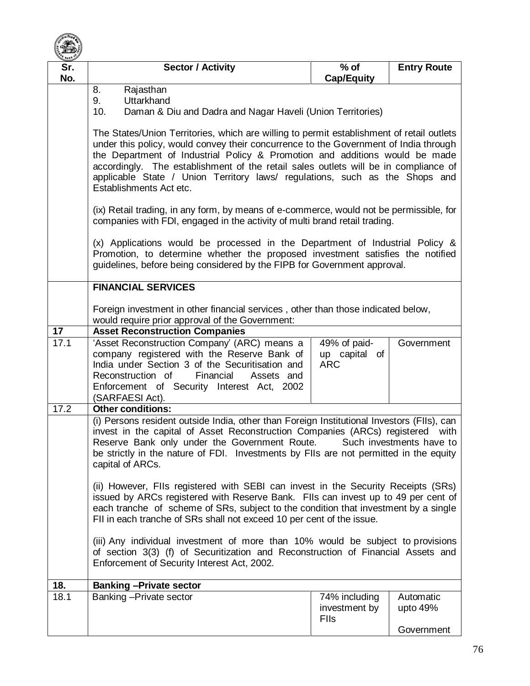

| Sr.<br>No. | <b>Sector / Activity</b>                                                                                                                                                                                                                                                                                                                                                                                                                                          | $%$ of<br><b>Cap/Equity</b>                   | <b>Entry Route</b>    |  |  |
|------------|-------------------------------------------------------------------------------------------------------------------------------------------------------------------------------------------------------------------------------------------------------------------------------------------------------------------------------------------------------------------------------------------------------------------------------------------------------------------|-----------------------------------------------|-----------------------|--|--|
|            | 8.<br>Rajasthan<br>9.<br><b>Uttarkhand</b><br>10.<br>Daman & Diu and Dadra and Nagar Haveli (Union Territories)                                                                                                                                                                                                                                                                                                                                                   |                                               |                       |  |  |
|            | The States/Union Territories, which are willing to permit establishment of retail outlets<br>under this policy, would convey their concurrence to the Government of India through<br>the Department of Industrial Policy & Promotion and additions would be made<br>accordingly. The establishment of the retail sales outlets will be in compliance of<br>applicable State / Union Territory laws/ regulations, such as the Shops and<br>Establishments Act etc. |                                               |                       |  |  |
|            | (ix) Retail trading, in any form, by means of e-commerce, would not be permissible, for<br>companies with FDI, engaged in the activity of multi brand retail trading.                                                                                                                                                                                                                                                                                             |                                               |                       |  |  |
|            | (x) Applications would be processed in the Department of Industrial Policy &<br>Promotion, to determine whether the proposed investment satisfies the notified<br>guidelines, before being considered by the FIPB for Government approval.                                                                                                                                                                                                                        |                                               |                       |  |  |
|            | <b>FINANCIAL SERVICES</b>                                                                                                                                                                                                                                                                                                                                                                                                                                         |                                               |                       |  |  |
|            | Foreign investment in other financial services, other than those indicated below,<br>would require prior approval of the Government:                                                                                                                                                                                                                                                                                                                              |                                               |                       |  |  |
| 17<br>17.1 | <b>Asset Reconstruction Companies</b><br>'Asset Reconstruction Company' (ARC) means a                                                                                                                                                                                                                                                                                                                                                                             | 49% of paid-                                  | Government            |  |  |
|            | company registered with the Reserve Bank of<br>India under Section 3 of the Securitisation and<br>Reconstruction of<br>Financial<br>Assets and<br>Enforcement of Security Interest Act, 2002<br>(SARFAESI Act).                                                                                                                                                                                                                                                   | up capital of<br><b>ARC</b>                   |                       |  |  |
| 17.2       | <b>Other conditions:</b>                                                                                                                                                                                                                                                                                                                                                                                                                                          |                                               |                       |  |  |
|            | (i) Persons resident outside India, other than Foreign Institutional Investors (FIIs), can<br>invest in the capital of Asset Reconstruction Companies (ARCs) registered<br>with<br>Reserve Bank only under the Government Route.<br>Such investments have to<br>be strictly in the nature of FDI. Investments by FIIs are not permitted in the equity<br>capital of ARCs.                                                                                         |                                               |                       |  |  |
|            | (ii) However, FIIs registered with SEBI can invest in the Security Receipts (SRs)<br>issued by ARCs registered with Reserve Bank. Flls can invest up to 49 per cent of<br>each tranche of scheme of SRs, subject to the condition that investment by a single<br>FII in each tranche of SRs shall not exceed 10 per cent of the issue.                                                                                                                            |                                               |                       |  |  |
|            | (iii) Any individual investment of more than 10% would be subject to provisions<br>of section 3(3) (f) of Securitization and Reconstruction of Financial Assets and<br>Enforcement of Security Interest Act, 2002.                                                                                                                                                                                                                                                |                                               |                       |  |  |
| 18.        | <b>Banking - Private sector</b>                                                                                                                                                                                                                                                                                                                                                                                                                                   |                                               |                       |  |  |
| 18.1       | Banking - Private sector                                                                                                                                                                                                                                                                                                                                                                                                                                          | 74% including<br>investment by<br><b>FIIs</b> | Automatic<br>upto 49% |  |  |
|            |                                                                                                                                                                                                                                                                                                                                                                                                                                                                   |                                               | Government            |  |  |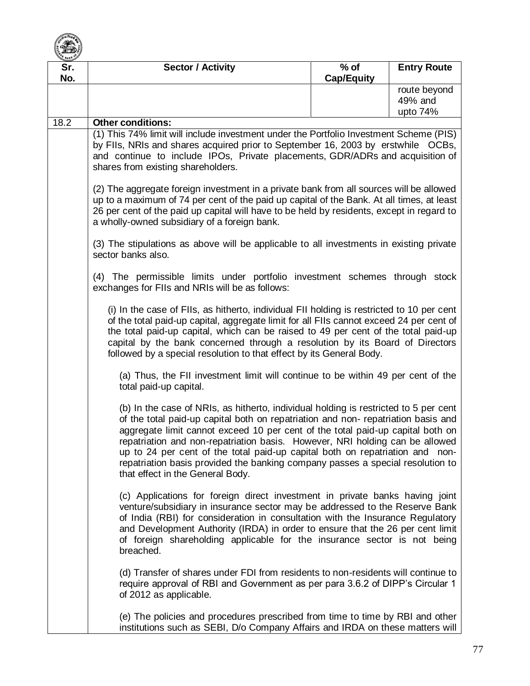

| Sr.  | <b>Sector / Activity</b>                                                                                                                                                                                                                                                                                                                                                                                                                                                                                                                                                                                                                                                                                                                                                                                                                                                                                                                                                                                                                                                                                                                                                                                                                                                                                                                                                                                                                                     | $%$ of            | <b>Entry Route</b>  |
|------|--------------------------------------------------------------------------------------------------------------------------------------------------------------------------------------------------------------------------------------------------------------------------------------------------------------------------------------------------------------------------------------------------------------------------------------------------------------------------------------------------------------------------------------------------------------------------------------------------------------------------------------------------------------------------------------------------------------------------------------------------------------------------------------------------------------------------------------------------------------------------------------------------------------------------------------------------------------------------------------------------------------------------------------------------------------------------------------------------------------------------------------------------------------------------------------------------------------------------------------------------------------------------------------------------------------------------------------------------------------------------------------------------------------------------------------------------------------|-------------------|---------------------|
| No.  |                                                                                                                                                                                                                                                                                                                                                                                                                                                                                                                                                                                                                                                                                                                                                                                                                                                                                                                                                                                                                                                                                                                                                                                                                                                                                                                                                                                                                                                              | <b>Cap/Equity</b> |                     |
|      |                                                                                                                                                                                                                                                                                                                                                                                                                                                                                                                                                                                                                                                                                                                                                                                                                                                                                                                                                                                                                                                                                                                                                                                                                                                                                                                                                                                                                                                              |                   | route beyond        |
|      |                                                                                                                                                                                                                                                                                                                                                                                                                                                                                                                                                                                                                                                                                                                                                                                                                                                                                                                                                                                                                                                                                                                                                                                                                                                                                                                                                                                                                                                              |                   | 49% and<br>upto 74% |
| 18.2 | <b>Other conditions:</b>                                                                                                                                                                                                                                                                                                                                                                                                                                                                                                                                                                                                                                                                                                                                                                                                                                                                                                                                                                                                                                                                                                                                                                                                                                                                                                                                                                                                                                     |                   |                     |
|      | (1) This 74% limit will include investment under the Portfolio Investment Scheme (PIS)                                                                                                                                                                                                                                                                                                                                                                                                                                                                                                                                                                                                                                                                                                                                                                                                                                                                                                                                                                                                                                                                                                                                                                                                                                                                                                                                                                       |                   |                     |
|      | by FIIs, NRIs and shares acquired prior to September 16, 2003 by erstwhile OCBs,<br>and continue to include IPOs, Private placements, GDR/ADRs and acquisition of<br>shares from existing shareholders.                                                                                                                                                                                                                                                                                                                                                                                                                                                                                                                                                                                                                                                                                                                                                                                                                                                                                                                                                                                                                                                                                                                                                                                                                                                      |                   |                     |
|      | (2) The aggregate foreign investment in a private bank from all sources will be allowed<br>up to a maximum of 74 per cent of the paid up capital of the Bank. At all times, at least<br>26 per cent of the paid up capital will have to be held by residents, except in regard to<br>a wholly-owned subsidiary of a foreign bank.                                                                                                                                                                                                                                                                                                                                                                                                                                                                                                                                                                                                                                                                                                                                                                                                                                                                                                                                                                                                                                                                                                                            |                   |                     |
|      | (3) The stipulations as above will be applicable to all investments in existing private<br>sector banks also.                                                                                                                                                                                                                                                                                                                                                                                                                                                                                                                                                                                                                                                                                                                                                                                                                                                                                                                                                                                                                                                                                                                                                                                                                                                                                                                                                |                   |                     |
|      | (4) The permissible limits under portfolio investment schemes through stock<br>exchanges for FIIs and NRIs will be as follows:                                                                                                                                                                                                                                                                                                                                                                                                                                                                                                                                                                                                                                                                                                                                                                                                                                                                                                                                                                                                                                                                                                                                                                                                                                                                                                                               |                   |                     |
|      | (i) In the case of FIIs, as hitherto, individual FII holding is restricted to 10 per cent<br>of the total paid-up capital, aggregate limit for all FIIs cannot exceed 24 per cent of<br>the total paid-up capital, which can be raised to 49 per cent of the total paid-up<br>capital by the bank concerned through a resolution by its Board of Directors<br>followed by a special resolution to that effect by its General Body.                                                                                                                                                                                                                                                                                                                                                                                                                                                                                                                                                                                                                                                                                                                                                                                                                                                                                                                                                                                                                           |                   |                     |
|      | (a) Thus, the FII investment limit will continue to be within 49 per cent of the<br>total paid-up capital.<br>(b) In the case of NRIs, as hitherto, individual holding is restricted to 5 per cent<br>of the total paid-up capital both on repatriation and non-repatriation basis and<br>aggregate limit cannot exceed 10 per cent of the total paid-up capital both on<br>repatriation and non-repatriation basis. However, NRI holding can be allowed<br>up to 24 per cent of the total paid-up capital both on repatriation and non-<br>repatriation basis provided the banking company passes a special resolution to<br>that effect in the General Body.<br>(c) Applications for foreign direct investment in private banks having joint<br>venture/subsidiary in insurance sector may be addressed to the Reserve Bank<br>of India (RBI) for consideration in consultation with the Insurance Regulatory<br>and Development Authority (IRDA) in order to ensure that the 26 per cent limit<br>of foreign shareholding applicable for the insurance sector is not being<br>breached.<br>(d) Transfer of shares under FDI from residents to non-residents will continue to<br>require approval of RBI and Government as per para 3.6.2 of DIPP's Circular 1<br>of 2012 as applicable.<br>(e) The policies and procedures prescribed from time to time by RBI and other<br>institutions such as SEBI, D/o Company Affairs and IRDA on these matters will |                   |                     |
|      |                                                                                                                                                                                                                                                                                                                                                                                                                                                                                                                                                                                                                                                                                                                                                                                                                                                                                                                                                                                                                                                                                                                                                                                                                                                                                                                                                                                                                                                              |                   |                     |
|      |                                                                                                                                                                                                                                                                                                                                                                                                                                                                                                                                                                                                                                                                                                                                                                                                                                                                                                                                                                                                                                                                                                                                                                                                                                                                                                                                                                                                                                                              |                   |                     |
|      |                                                                                                                                                                                                                                                                                                                                                                                                                                                                                                                                                                                                                                                                                                                                                                                                                                                                                                                                                                                                                                                                                                                                                                                                                                                                                                                                                                                                                                                              |                   |                     |
|      |                                                                                                                                                                                                                                                                                                                                                                                                                                                                                                                                                                                                                                                                                                                                                                                                                                                                                                                                                                                                                                                                                                                                                                                                                                                                                                                                                                                                                                                              |                   |                     |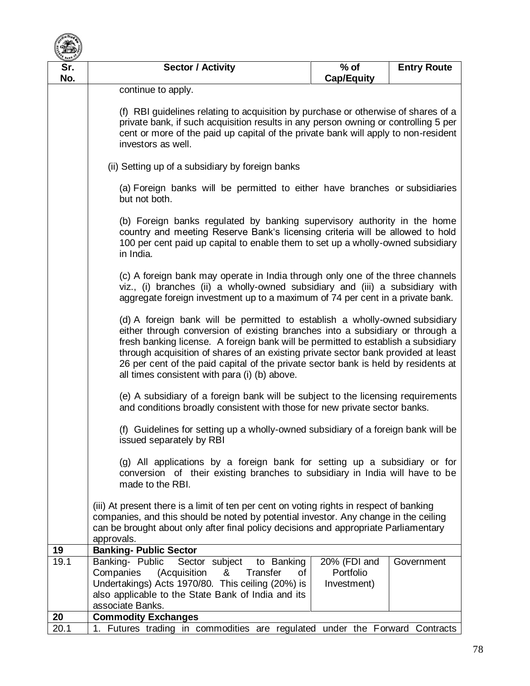

| Sr.  | <b>Sector / Activity</b>                                                                                                                                                                                                                                                                                                                                                                                                                                                                                                                                                                                                                                                                                                                                                                                                                                                                                                                                                                                                                                                                                                                                                                                                                                                                                                                                                                                                                                             | $%$ of            | <b>Entry Route</b> |  |
|------|----------------------------------------------------------------------------------------------------------------------------------------------------------------------------------------------------------------------------------------------------------------------------------------------------------------------------------------------------------------------------------------------------------------------------------------------------------------------------------------------------------------------------------------------------------------------------------------------------------------------------------------------------------------------------------------------------------------------------------------------------------------------------------------------------------------------------------------------------------------------------------------------------------------------------------------------------------------------------------------------------------------------------------------------------------------------------------------------------------------------------------------------------------------------------------------------------------------------------------------------------------------------------------------------------------------------------------------------------------------------------------------------------------------------------------------------------------------------|-------------------|--------------------|--|
| No.  |                                                                                                                                                                                                                                                                                                                                                                                                                                                                                                                                                                                                                                                                                                                                                                                                                                                                                                                                                                                                                                                                                                                                                                                                                                                                                                                                                                                                                                                                      | <b>Cap/Equity</b> |                    |  |
|      | continue to apply.                                                                                                                                                                                                                                                                                                                                                                                                                                                                                                                                                                                                                                                                                                                                                                                                                                                                                                                                                                                                                                                                                                                                                                                                                                                                                                                                                                                                                                                   |                   |                    |  |
|      |                                                                                                                                                                                                                                                                                                                                                                                                                                                                                                                                                                                                                                                                                                                                                                                                                                                                                                                                                                                                                                                                                                                                                                                                                                                                                                                                                                                                                                                                      |                   |                    |  |
|      | (f) RBI guidelines relating to acquisition by purchase or otherwise of shares of a<br>private bank, if such acquisition results in any person owning or controlling 5 per<br>cent or more of the paid up capital of the private bank will apply to non-resident<br>investors as well.                                                                                                                                                                                                                                                                                                                                                                                                                                                                                                                                                                                                                                                                                                                                                                                                                                                                                                                                                                                                                                                                                                                                                                                |                   |                    |  |
|      | (ii) Setting up of a subsidiary by foreign banks                                                                                                                                                                                                                                                                                                                                                                                                                                                                                                                                                                                                                                                                                                                                                                                                                                                                                                                                                                                                                                                                                                                                                                                                                                                                                                                                                                                                                     |                   |                    |  |
|      | (a) Foreign banks will be permitted to either have branches or subsidiaries<br>but not both.                                                                                                                                                                                                                                                                                                                                                                                                                                                                                                                                                                                                                                                                                                                                                                                                                                                                                                                                                                                                                                                                                                                                                                                                                                                                                                                                                                         |                   |                    |  |
|      | (b) Foreign banks regulated by banking supervisory authority in the home<br>country and meeting Reserve Bank's licensing criteria will be allowed to hold<br>100 per cent paid up capital to enable them to set up a wholly-owned subsidiary<br>in India.<br>(c) A foreign bank may operate in India through only one of the three channels<br>viz., (i) branches (ii) a wholly-owned subsidiary and (iii) a subsidiary with<br>aggregate foreign investment up to a maximum of 74 per cent in a private bank.<br>(d) A foreign bank will be permitted to establish a wholly-owned subsidiary<br>either through conversion of existing branches into a subsidiary or through a<br>fresh banking license. A foreign bank will be permitted to establish a subsidiary<br>through acquisition of shares of an existing private sector bank provided at least<br>26 per cent of the paid capital of the private sector bank is held by residents at<br>all times consistent with para (i) (b) above.<br>(e) A subsidiary of a foreign bank will be subject to the licensing requirements<br>and conditions broadly consistent with those for new private sector banks.<br>(f) Guidelines for setting up a wholly-owned subsidiary of a foreign bank will be<br>issued separately by RBI<br>(g) All applications by a foreign bank for setting up a subsidiary or for<br>conversion of their existing branches to subsidiary in India will have to be<br>made to the RBI. |                   |                    |  |
|      |                                                                                                                                                                                                                                                                                                                                                                                                                                                                                                                                                                                                                                                                                                                                                                                                                                                                                                                                                                                                                                                                                                                                                                                                                                                                                                                                                                                                                                                                      |                   |                    |  |
|      |                                                                                                                                                                                                                                                                                                                                                                                                                                                                                                                                                                                                                                                                                                                                                                                                                                                                                                                                                                                                                                                                                                                                                                                                                                                                                                                                                                                                                                                                      |                   |                    |  |
|      |                                                                                                                                                                                                                                                                                                                                                                                                                                                                                                                                                                                                                                                                                                                                                                                                                                                                                                                                                                                                                                                                                                                                                                                                                                                                                                                                                                                                                                                                      |                   |                    |  |
|      |                                                                                                                                                                                                                                                                                                                                                                                                                                                                                                                                                                                                                                                                                                                                                                                                                                                                                                                                                                                                                                                                                                                                                                                                                                                                                                                                                                                                                                                                      |                   |                    |  |
|      |                                                                                                                                                                                                                                                                                                                                                                                                                                                                                                                                                                                                                                                                                                                                                                                                                                                                                                                                                                                                                                                                                                                                                                                                                                                                                                                                                                                                                                                                      |                   |                    |  |
|      | (iii) At present there is a limit of ten per cent on voting rights in respect of banking<br>companies, and this should be noted by potential investor. Any change in the ceiling<br>can be brought about only after final policy decisions and appropriate Parliamentary<br>approvals.                                                                                                                                                                                                                                                                                                                                                                                                                                                                                                                                                                                                                                                                                                                                                                                                                                                                                                                                                                                                                                                                                                                                                                               |                   |                    |  |
| 19   | <b>Banking- Public Sector</b>                                                                                                                                                                                                                                                                                                                                                                                                                                                                                                                                                                                                                                                                                                                                                                                                                                                                                                                                                                                                                                                                                                                                                                                                                                                                                                                                                                                                                                        |                   |                    |  |
| 19.1 | Banking- Public<br>Sector subject<br>to Banking                                                                                                                                                                                                                                                                                                                                                                                                                                                                                                                                                                                                                                                                                                                                                                                                                                                                                                                                                                                                                                                                                                                                                                                                                                                                                                                                                                                                                      | 20% (FDI and      | Government         |  |
|      | Companies<br>(Acquisition<br>of<br>&<br>Transfer                                                                                                                                                                                                                                                                                                                                                                                                                                                                                                                                                                                                                                                                                                                                                                                                                                                                                                                                                                                                                                                                                                                                                                                                                                                                                                                                                                                                                     | Portfolio         |                    |  |
|      | Undertakings) Acts 1970/80. This ceiling (20%) is                                                                                                                                                                                                                                                                                                                                                                                                                                                                                                                                                                                                                                                                                                                                                                                                                                                                                                                                                                                                                                                                                                                                                                                                                                                                                                                                                                                                                    | Investment)       |                    |  |
|      | also applicable to the State Bank of India and its<br>associate Banks.                                                                                                                                                                                                                                                                                                                                                                                                                                                                                                                                                                                                                                                                                                                                                                                                                                                                                                                                                                                                                                                                                                                                                                                                                                                                                                                                                                                               |                   |                    |  |
| 20   | <b>Commodity Exchanges</b>                                                                                                                                                                                                                                                                                                                                                                                                                                                                                                                                                                                                                                                                                                                                                                                                                                                                                                                                                                                                                                                                                                                                                                                                                                                                                                                                                                                                                                           |                   |                    |  |
| 20.1 | 1. Futures trading in commodities are regulated under the Forward Contracts                                                                                                                                                                                                                                                                                                                                                                                                                                                                                                                                                                                                                                                                                                                                                                                                                                                                                                                                                                                                                                                                                                                                                                                                                                                                                                                                                                                          |                   |                    |  |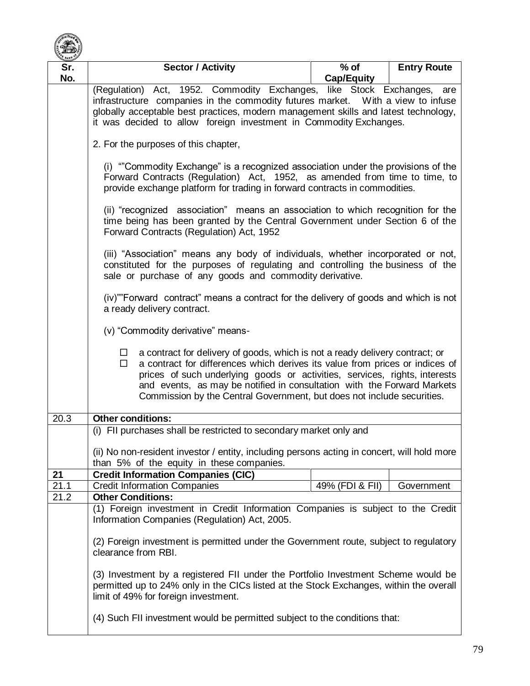

| Sr.  | <b>Sector / Activity</b>                                                                                                                                                                                                                                                                                                                                                                                                                                 | $%$ of            | <b>Entry Route</b> |  |
|------|----------------------------------------------------------------------------------------------------------------------------------------------------------------------------------------------------------------------------------------------------------------------------------------------------------------------------------------------------------------------------------------------------------------------------------------------------------|-------------------|--------------------|--|
| No.  |                                                                                                                                                                                                                                                                                                                                                                                                                                                          | <b>Cap/Equity</b> |                    |  |
|      | (Regulation) Act, 1952. Commodity Exchanges, like Stock Exchanges, are                                                                                                                                                                                                                                                                                                                                                                                   |                   |                    |  |
|      | infrastructure companies in the commodity futures market. With a view to infuse                                                                                                                                                                                                                                                                                                                                                                          |                   |                    |  |
|      | globally acceptable best practices, modern management skills and latest technology,<br>it was decided to allow foreign investment in Commodity Exchanges.                                                                                                                                                                                                                                                                                                |                   |                    |  |
|      |                                                                                                                                                                                                                                                                                                                                                                                                                                                          |                   |                    |  |
|      | 2. For the purposes of this chapter,                                                                                                                                                                                                                                                                                                                                                                                                                     |                   |                    |  |
|      | (i) "Commodity Exchange" is a recognized association under the provisions of the                                                                                                                                                                                                                                                                                                                                                                         |                   |                    |  |
|      | Forward Contracts (Regulation) Act, 1952, as amended from time to time, to<br>provide exchange platform for trading in forward contracts in commodities.                                                                                                                                                                                                                                                                                                 |                   |                    |  |
|      |                                                                                                                                                                                                                                                                                                                                                                                                                                                          |                   |                    |  |
|      | (ii) "recognized association" means an association to which recognition for the<br>time being has been granted by the Central Government under Section 6 of the<br>Forward Contracts (Regulation) Act, 1952                                                                                                                                                                                                                                              |                   |                    |  |
|      | (iii) "Association" means any body of individuals, whether incorporated or not,<br>constituted for the purposes of regulating and controlling the business of the<br>sale or purchase of any goods and commodity derivative.                                                                                                                                                                                                                             |                   |                    |  |
|      | (iv)""Forward contract" means a contract for the delivery of goods and which is not<br>a ready delivery contract.                                                                                                                                                                                                                                                                                                                                        |                   |                    |  |
|      | (v) "Commodity derivative" means-<br>a contract for delivery of goods, which is not a ready delivery contract; or<br>$\Box$<br>a contract for differences which derives its value from prices or indices of<br>$\Box$<br>prices of such underlying goods or activities, services, rights, interests<br>and events, as may be notified in consultation with the Forward Markets<br>Commission by the Central Government, but does not include securities. |                   |                    |  |
|      |                                                                                                                                                                                                                                                                                                                                                                                                                                                          |                   |                    |  |
| 20.3 | <b>Other conditions:</b>                                                                                                                                                                                                                                                                                                                                                                                                                                 |                   |                    |  |
|      | (i) FII purchases shall be restricted to secondary market only and                                                                                                                                                                                                                                                                                                                                                                                       |                   |                    |  |
|      |                                                                                                                                                                                                                                                                                                                                                                                                                                                          |                   |                    |  |
|      | (ii) No non-resident investor / entity, including persons acting in concert, will hold more<br>than 5% of the equity in these companies.                                                                                                                                                                                                                                                                                                                 |                   |                    |  |
| 21   | <b>Credit Information Companies (CIC)</b>                                                                                                                                                                                                                                                                                                                                                                                                                |                   |                    |  |
| 21.1 | <b>Credit Information Companies</b>                                                                                                                                                                                                                                                                                                                                                                                                                      | 49% (FDI & FII)   | Government         |  |
| 21.2 | <b>Other Conditions:</b>                                                                                                                                                                                                                                                                                                                                                                                                                                 |                   |                    |  |
|      | (1) Foreign investment in Credit Information Companies is subject to the Credit                                                                                                                                                                                                                                                                                                                                                                          |                   |                    |  |
|      | Information Companies (Regulation) Act, 2005.                                                                                                                                                                                                                                                                                                                                                                                                            |                   |                    |  |
|      | (2) Foreign investment is permitted under the Government route, subject to regulatory<br>clearance from RBI.                                                                                                                                                                                                                                                                                                                                             |                   |                    |  |
|      | (3) Investment by a registered FII under the Portfolio Investment Scheme would be<br>permitted up to 24% only in the CICs listed at the Stock Exchanges, within the overall<br>limit of 49% for foreign investment.                                                                                                                                                                                                                                      |                   |                    |  |
|      | (4) Such FII investment would be permitted subject to the conditions that:                                                                                                                                                                                                                                                                                                                                                                               |                   |                    |  |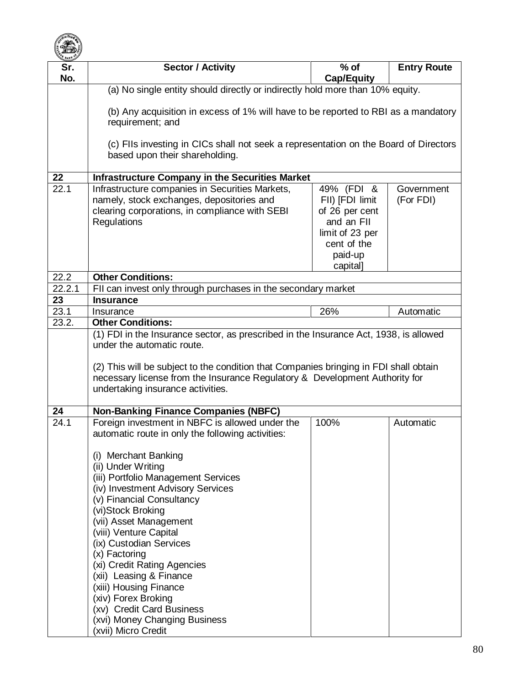

| $\sim$<br>Sr. | <b>Sector / Activity</b>                                                                                                                                                                                                                | $%$ of                                                                                                   |                    |
|---------------|-----------------------------------------------------------------------------------------------------------------------------------------------------------------------------------------------------------------------------------------|----------------------------------------------------------------------------------------------------------|--------------------|
|               |                                                                                                                                                                                                                                         |                                                                                                          | <b>Entry Route</b> |
| No.           | <b>Cap/Equity</b>                                                                                                                                                                                                                       |                                                                                                          |                    |
|               | (a) No single entity should directly or indirectly hold more than 10% equity.                                                                                                                                                           |                                                                                                          |                    |
|               | (b) Any acquisition in excess of 1% will have to be reported to RBI as a mandatory<br>requirement; and                                                                                                                                  |                                                                                                          |                    |
|               | (c) FIIs investing in CICs shall not seek a representation on the Board of Directors<br>based upon their shareholding.                                                                                                                  |                                                                                                          |                    |
| 22            | <b>Infrastructure Company in the Securities Market</b>                                                                                                                                                                                  |                                                                                                          |                    |
| 22.1          | Infrastructure companies in Securities Markets,                                                                                                                                                                                         | 49% (FDI &                                                                                               | Government         |
|               | namely, stock exchanges, depositories and<br>clearing corporations, in compliance with SEBI<br>Regulations                                                                                                                              | FII) [FDI limit<br>of 26 per cent<br>and an FII<br>limit of 23 per<br>cent of the<br>paid-up<br>capital] | (For FDI)          |
| 22.2          | <b>Other Conditions:</b>                                                                                                                                                                                                                |                                                                                                          |                    |
| 22.2.1        | FII can invest only through purchases in the secondary market                                                                                                                                                                           |                                                                                                          |                    |
| 23            | <b>Insurance</b>                                                                                                                                                                                                                        |                                                                                                          |                    |
| 23.1          | Insurance                                                                                                                                                                                                                               | 26%                                                                                                      | Automatic          |
| 23.2.         | <b>Other Conditions:</b>                                                                                                                                                                                                                |                                                                                                          |                    |
|               | under the automatic route.<br>(2) This will be subject to the condition that Companies bringing in FDI shall obtain<br>necessary license from the Insurance Regulatory & Development Authority for<br>undertaking insurance activities. |                                                                                                          |                    |
| 24            | <b>Non-Banking Finance Companies (NBFC)</b>                                                                                                                                                                                             |                                                                                                          |                    |
| 24.1          | Foreign investment in NBFC is allowed under the<br>automatic route in only the following activities:                                                                                                                                    | 100%                                                                                                     | Automatic          |
|               | (i) Merchant Banking                                                                                                                                                                                                                    |                                                                                                          |                    |
|               | (ii) Under Writing                                                                                                                                                                                                                      |                                                                                                          |                    |
|               | (iii) Portfolio Management Services                                                                                                                                                                                                     |                                                                                                          |                    |
|               | (iv) Investment Advisory Services                                                                                                                                                                                                       |                                                                                                          |                    |
|               | (v) Financial Consultancy                                                                                                                                                                                                               |                                                                                                          |                    |
|               | (vi)Stock Broking                                                                                                                                                                                                                       |                                                                                                          |                    |
|               | (vii) Asset Management                                                                                                                                                                                                                  |                                                                                                          |                    |
|               | (viii) Venture Capital                                                                                                                                                                                                                  |                                                                                                          |                    |
|               | (ix) Custodian Services<br>(x) Factoring                                                                                                                                                                                                |                                                                                                          |                    |
|               | (xi) Credit Rating Agencies                                                                                                                                                                                                             |                                                                                                          |                    |
|               | (xii) Leasing & Finance                                                                                                                                                                                                                 |                                                                                                          |                    |
|               | (xiii) Housing Finance                                                                                                                                                                                                                  |                                                                                                          |                    |
|               | (xiv) Forex Broking                                                                                                                                                                                                                     |                                                                                                          |                    |
|               | (xv) Credit Card Business                                                                                                                                                                                                               |                                                                                                          |                    |
|               | (xvi) Money Changing Business<br>(xvii) Micro Credit                                                                                                                                                                                    |                                                                                                          |                    |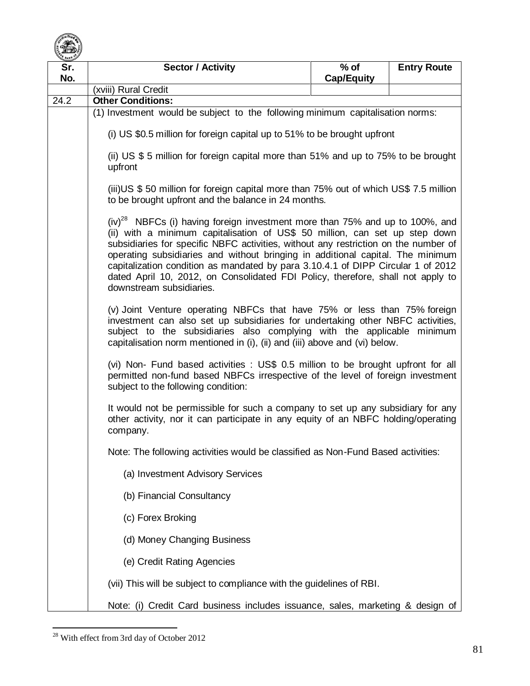

| Sr.<br>No. | <b>Sector / Activity</b>                                                                                                                                                                                                                                                                                                                                                                                                                                                                                                                     | $%$ of<br><b>Cap/Equity</b> | <b>Entry Route</b> |
|------------|----------------------------------------------------------------------------------------------------------------------------------------------------------------------------------------------------------------------------------------------------------------------------------------------------------------------------------------------------------------------------------------------------------------------------------------------------------------------------------------------------------------------------------------------|-----------------------------|--------------------|
|            | (xviii) Rural Credit                                                                                                                                                                                                                                                                                                                                                                                                                                                                                                                         |                             |                    |
| 24.2       | <b>Other Conditions:</b>                                                                                                                                                                                                                                                                                                                                                                                                                                                                                                                     |                             |                    |
|            | (1) Investment would be subject to the following minimum capitalisation norms:                                                                                                                                                                                                                                                                                                                                                                                                                                                               |                             |                    |
|            | (i) US \$0.5 million for foreign capital up to 51% to be brought upfront                                                                                                                                                                                                                                                                                                                                                                                                                                                                     |                             |                    |
|            | (ii) US \$ 5 million for foreign capital more than 51% and up to 75% to be brought<br>upfront                                                                                                                                                                                                                                                                                                                                                                                                                                                |                             |                    |
|            | (iii)US \$50 million for foreign capital more than 75% out of which US\$7.5 million<br>to be brought upfront and the balance in 24 months.                                                                                                                                                                                                                                                                                                                                                                                                   |                             |                    |
|            | $(iv)^{28}$ NBFCs (i) having foreign investment more than 75% and up to 100%, and<br>(ii) with a minimum capitalisation of US\$ 50 million, can set up step down<br>subsidiaries for specific NBFC activities, without any restriction on the number of<br>operating subsidiaries and without bringing in additional capital. The minimum<br>capitalization condition as mandated by para 3.10.4.1 of DIPP Circular 1 of 2012<br>dated April 10, 2012, on Consolidated FDI Policy, therefore, shall not apply to<br>downstream subsidiaries. |                             |                    |
|            | (v) Joint Venture operating NBFCs that have 75% or less than 75% foreign<br>investment can also set up subsidiaries for undertaking other NBFC activities,<br>subject to the subsidiaries also complying with the applicable minimum<br>capitalisation norm mentioned in (i), (ii) and (iii) above and (vi) below.                                                                                                                                                                                                                           |                             |                    |
|            | (vi) Non- Fund based activities : US\$ 0.5 million to be brought upfront for all<br>permitted non-fund based NBFCs irrespective of the level of foreign investment<br>subject to the following condition:                                                                                                                                                                                                                                                                                                                                    |                             |                    |
|            | It would not be permissible for such a company to set up any subsidiary for any<br>other activity, nor it can participate in any equity of an NBFC holding/operating<br>company.                                                                                                                                                                                                                                                                                                                                                             |                             |                    |
|            | Note: The following activities would be classified as Non-Fund Based activities:                                                                                                                                                                                                                                                                                                                                                                                                                                                             |                             |                    |
|            | (a) Investment Advisory Services                                                                                                                                                                                                                                                                                                                                                                                                                                                                                                             |                             |                    |
|            | (b) Financial Consultancy                                                                                                                                                                                                                                                                                                                                                                                                                                                                                                                    |                             |                    |
|            | (c) Forex Broking                                                                                                                                                                                                                                                                                                                                                                                                                                                                                                                            |                             |                    |
|            | (d) Money Changing Business                                                                                                                                                                                                                                                                                                                                                                                                                                                                                                                  |                             |                    |
|            | (e) Credit Rating Agencies                                                                                                                                                                                                                                                                                                                                                                                                                                                                                                                   |                             |                    |
|            | (vii) This will be subject to compliance with the guidelines of RBI.                                                                                                                                                                                                                                                                                                                                                                                                                                                                         |                             |                    |
|            | Note: (i) Credit Card business includes issuance, sales, marketing & design of                                                                                                                                                                                                                                                                                                                                                                                                                                                               |                             |                    |

 $\overline{a}$  $28$  With effect from 3rd day of October 2012